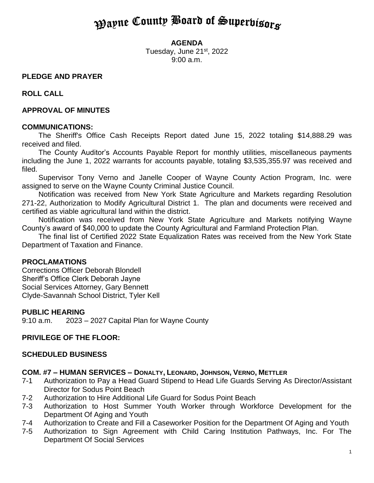# **Payne County Board of Superbisors**

#### **AGENDA**

Tuesday, June 21<sup>st</sup>, 2022 9:00 a.m.

### **PLEDGE AND PRAYER**

**ROLL CALL**

#### **APPROVAL OF MINUTES**

#### **COMMUNICATIONS:**

The Sheriff's Office Cash Receipts Report dated June 15, 2022 totaling \$14,888.29 was received and filed.

The County Auditor's Accounts Payable Report for monthly utilities, miscellaneous payments including the June 1, 2022 warrants for accounts payable, totaling \$3,535,355.97 was received and filed.

Supervisor Tony Verno and Janelle Cooper of Wayne County Action Program, Inc. were assigned to serve on the Wayne County Criminal Justice Council.

Notification was received from New York State Agriculture and Markets regarding Resolution 271-22, Authorization to Modify Agricultural District 1. The plan and documents were received and certified as viable agricultural land within the district.

Notification was received from New York State Agriculture and Markets notifying Wayne County's award of \$40,000 to update the County Agricultural and Farmland Protection Plan.

The final list of Certified 2022 State Equalization Rates was received from the New York State Department of Taxation and Finance.

#### **PROCLAMATIONS**

Corrections Officer Deborah Blondell Sheriff's Office Clerk Deborah Jayne Social Services Attorney, Gary Bennett Clyde-Savannah School District, Tyler Kell

#### **PUBLIC HEARING**

9:10 a.m. 2023 – 2027 Capital Plan for Wayne County

### **PRIVILEGE OF THE FLOOR:**

### **SCHEDULED BUSINESS**

#### **COM. #7 – HUMAN SERVICES – DONALTY, LEONARD, JOHNSON, VERNO, METTLER**

- 7-1 Authorization to Pay a Head Guard Stipend to Head Life Guards Serving As Director/Assistant Director for Sodus Point Beach
- 7-2 Authorization to Hire Additional Life Guard for Sodus Point Beach
- 7-3 Authorization to Host Summer Youth Worker through Workforce Development for the Department Of Aging and Youth
- 7-4 Authorization to Create and Fill a Caseworker Position for the Department Of Aging and Youth
- 7-5 Authorization to Sign Agreement with Child Caring Institution Pathways, Inc. For The Department Of Social Services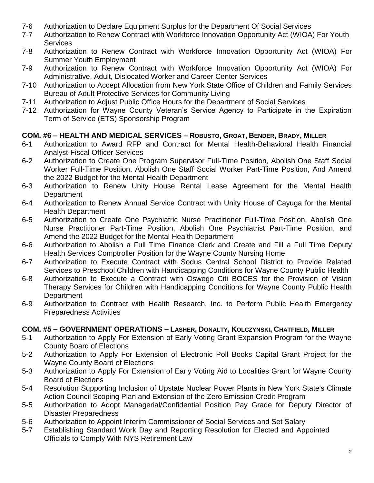- 7-6 Authorization to Declare Equipment Surplus for the Department Of Social Services
- 7-7 Authorization to Renew Contract with Workforce Innovation Opportunity Act (WIOA) For Youth **Services**
- 7-8 Authorization to Renew Contract with Workforce Innovation Opportunity Act (WIOA) For Summer Youth Employment
- 7-9 Authorization to Renew Contract with Workforce Innovation Opportunity Act (WIOA) For Administrative, Adult, Dislocated Worker and Career Center Services
- 7-10 Authorization to Accept Allocation from New York State Office of Children and Family Services Bureau of Adult Protective Services for Community Living
- 7-11 Authorization to Adjust Public Office Hours for the Department of Social Services
- 7-12 Authorization for Wayne County Veteran's Service Agency to Participate in the Expiration Term of Service (ETS) Sponsorship Program

# **COM. #6 – HEALTH AND MEDICAL SERVICES – ROBUSTO, GROAT, BENDER, BRADY, MILLER**

- 6-1 Authorization to Award RFP and Contract for Mental Health-Behavioral Health Financial Analyst-Fiscal Officer Services
- 6-2 Authorization to Create One Program Supervisor Full-Time Position, Abolish One Staff Social Worker Full-Time Position, Abolish One Staff Social Worker Part-Time Position, And Amend the 2022 Budget for the Mental Health Department
- 6-3 Authorization to Renew Unity House Rental Lease Agreement for the Mental Health **Department**
- 6-4 Authorization to Renew Annual Service Contract with Unity House of Cayuga for the Mental Health Department
- 6-5 Authorization to Create One Psychiatric Nurse Practitioner Full-Time Position, Abolish One Nurse Practitioner Part-Time Position, Abolish One Psychiatrist Part-Time Position, and Amend the 2022 Budget for the Mental Health Department
- 6-6 Authorization to Abolish a Full Time Finance Clerk and Create and Fill a Full Time Deputy Health Services Comptroller Position for the Wayne County Nursing Home
- 6-7 Authorization to Execute Contract with Sodus Central School District to Provide Related Services to Preschool Children with Handicapping Conditions for Wayne County Public Health
- 6-8 Authorization to Execute a Contract with Oswego Citi BOCES for the Provision of Vision Therapy Services for Children with Handicapping Conditions for Wayne County Public Health **Department**
- 6-9 Authorization to Contract with Health Research, Inc. to Perform Public Health Emergency Preparedness Activities

# **COM. #5 – GOVERNMENT OPERATIONS – LASHER, DONALTY, KOLCZYNSKI, CHATFIELD, MILLER**

- 5-1 Authorization to Apply For Extension of Early Voting Grant Expansion Program for the Wayne County Board of Elections
- 5-2 Authorization to Apply For Extension of Electronic Poll Books Capital Grant Project for the Wayne County Board of Elections
- 5-3 Authorization to Apply For Extension of Early Voting Aid to Localities Grant for Wayne County Board of Elections
- 5-4 Resolution Supporting Inclusion of Upstate Nuclear Power Plants in New York State's Climate Action Council Scoping Plan and Extension of the Zero Emission Credit Program
- 5-5 Authorization to Adopt Managerial/Confidential Position Pay Grade for Deputy Director of Disaster Preparedness
- 5-6 Authorization to Appoint Interim Commissioner of Social Services and Set Salary
- 5-7 Establishing Standard Work Day and Reporting Resolution for Elected and Appointed Officials to Comply With NYS Retirement Law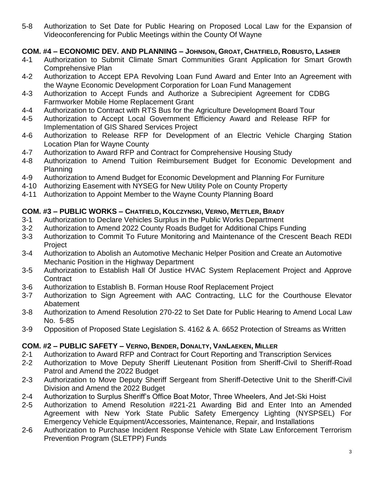5-8 Authorization to Set Date for Public Hearing on Proposed Local Law for the Expansion of Videoconferencing for Public Meetings within the County Of Wayne

# **COM. #4 – ECONOMIC DEV. AND PLANNING – JOHNSON, GROAT, CHATFIELD, ROBUSTO, LASHER**

- 4-1 Authorization to Submit Climate Smart Communities Grant Application for Smart Growth Comprehensive Plan
- 4-2 Authorization to Accept EPA Revolving Loan Fund Award and Enter Into an Agreement with the Wayne Economic Development Corporation for Loan Fund Management
- 4-3 Authorization to Accept Funds and Authorize a Subrecipient Agreement for CDBG Farmworker Mobile Home Replacement Grant
- 4-4 Authorization to Contract with RTS Bus for the Agriculture Development Board Tour
- 4-5 Authorization to Accept Local Government Efficiency Award and Release RFP for Implementation of GIS Shared Services Project
- 4-6 Authorization to Release RFP for Development of an Electric Vehicle Charging Station Location Plan for Wayne County
- 4-7 Authorization to Award RFP and Contract for Comprehensive Housing Study
- 4-8 Authorization to Amend Tuition Reimbursement Budget for Economic Development and Planning
- 4-9 Authorization to Amend Budget for Economic Development and Planning For Furniture
- 4-10 Authorizing Easement with NYSEG for New Utility Pole on County Property
- 4-11 Authorization to Appoint Member to the Wayne County Planning Board

# **COM. #3 – PUBLIC WORKS – CHATFIELD, KOLCZYNSKI, VERNO, METTLER, BRADY**

- 3-1 Authorization to Declare Vehicles Surplus in the Public Works Department
- 3-2 Authorization to Amend 2022 County Roads Budget for Additional Chips Funding
- 3-3 Authorization to Commit To Future Monitoring and Maintenance of the Crescent Beach REDI Project
- 3-4 Authorization to Abolish an Automotive Mechanic Helper Position and Create an Automotive Mechanic Position in the Highway Department
- 3-5 Authorization to Establish Hall Of Justice HVAC System Replacement Project and Approve **Contract**
- 3-6 Authorization to Establish B. Forman House Roof Replacement Project
- 3-7 Authorization to Sign Agreement with AAC Contracting, LLC for the Courthouse Elevator Abatement
- 3-8 Authorization to Amend Resolution 270-22 to Set Date for Public Hearing to Amend Local Law No. 5-85
- 3-9 Opposition of Proposed State Legislation S. 4162 & A. 6652 Protection of Streams as Written

# **COM. #2 – PUBLIC SAFETY – VERNO, BENDER, DONALTY, VANLAEKEN, MILLER**

- 2-1 Authorization to Award RFP and Contract for Court Reporting and Transcription Services
- 2-2 Authorization to Move Deputy Sheriff Lieutenant Position from Sheriff-Civil to Sheriff-Road Patrol and Amend the 2022 Budget
- 2-3 Authorization to Move Deputy Sheriff Sergeant from Sheriff-Detective Unit to the Sheriff-Civil Division and Amend the 2022 Budget
- 2-4 Authorization to Surplus Sheriff's Office Boat Motor, Three Wheelers, And Jet-Ski Hoist
- 2-5 Authorization to Amend Resolution #221-21 Awarding Bid and Enter Into an Amended Agreement with New York State Public Safety Emergency Lighting (NYSPSEL) For Emergency Vehicle Equipment/Accessories, Maintenance, Repair, and Installations
- 2-6 Authorization to Purchase Incident Response Vehicle with State Law Enforcement Terrorism Prevention Program (SLETPP) Funds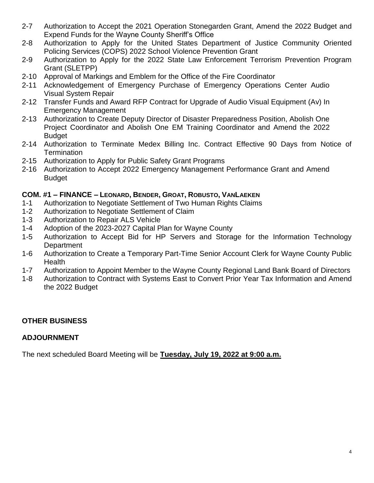- 2-7 Authorization to Accept the 2021 Operation Stonegarden Grant, Amend the 2022 Budget and Expend Funds for the Wayne County Sheriff's Office
- 2-8 Authorization to Apply for the United States Department of Justice Community Oriented Policing Services (COPS) 2022 School Violence Prevention Grant
- 2-9 Authorization to Apply for the 2022 State Law Enforcement Terrorism Prevention Program Grant (SLETPP)
- 2-10 Approval of Markings and Emblem for the Office of the Fire Coordinator
- 2-11 Acknowledgement of Emergency Purchase of Emergency Operations Center Audio Visual System Repair
- 2-12 Transfer Funds and Award RFP Contract for Upgrade of Audio Visual Equipment (Av) In Emergency Management
- 2-13 Authorization to Create Deputy Director of Disaster Preparedness Position, Abolish One Project Coordinator and Abolish One EM Training Coordinator and Amend the 2022 **Budget**
- 2-14 Authorization to Terminate Medex Billing Inc. Contract Effective 90 Days from Notice of **Termination**
- 2-15 Authorization to Apply for Public Safety Grant Programs
- 2-16 Authorization to Accept 2022 Emergency Management Performance Grant and Amend Budget

### **COM. #1 – FINANCE – LEONARD, BENDER, GROAT, ROBUSTO, VANLAEKEN**

- 1-1 Authorization to Negotiate Settlement of Two Human Rights Claims
- 1-2 Authorization to Negotiate Settlement of Claim
- 1-3 Authorization to Repair ALS Vehicle
- 1-4 Adoption of the 2023-2027 Capital Plan for Wayne County
- 1-5 Authorization to Accept Bid for HP Servers and Storage for the Information Technology **Department**
- 1-6 Authorization to Create a Temporary Part-Time Senior Account Clerk for Wayne County Public **Health**
- 1-7 Authorization to Appoint Member to the Wayne County Regional Land Bank Board of Directors
- 1-8 Authorization to Contract with Systems East to Convert Prior Year Tax Information and Amend the 2022 Budget

### **OTHER BUSINESS**

### **ADJOURNMENT**

The next scheduled Board Meeting will be **Tuesday, July 19, 2022 at 9:00 a.m.**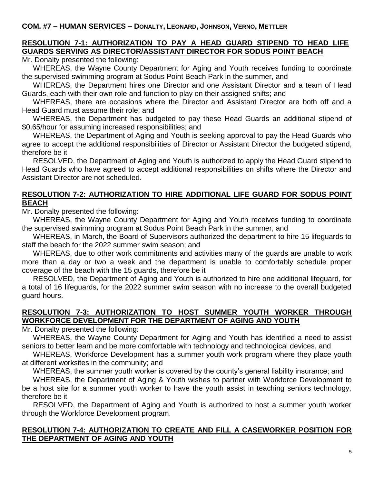# **RESOLUTION 7-1: AUTHORIZATION TO PAY A HEAD GUARD STIPEND TO HEAD LIFE GUARDS SERVING AS DIRECTOR/ASSISTANT DIRECTOR FOR SODUS POINT BEACH**

Mr. Donalty presented the following:

WHEREAS, the Wayne County Department for Aging and Youth receives funding to coordinate the supervised swimming program at Sodus Point Beach Park in the summer, and

WHEREAS, the Department hires one Director and one Assistant Director and a team of Head Guards, each with their own role and function to play on their assigned shifts; and

WHEREAS, there are occasions where the Director and Assistant Director are both off and a Head Guard must assume their role; and

WHEREAS, the Department has budgeted to pay these Head Guards an additional stipend of \$0.65/hour for assuming increased responsibilities; and

WHEREAS, the Department of Aging and Youth is seeking approval to pay the Head Guards who agree to accept the additional responsibilities of Director or Assistant Director the budgeted stipend, therefore be it

RESOLVED, the Department of Aging and Youth is authorized to apply the Head Guard stipend to Head Guards who have agreed to accept additional responsibilities on shifts where the Director and Assistant Director are not scheduled.

### **RESOLUTION 7-2: AUTHORIZATION TO HIRE ADDITIONAL LIFE GUARD FOR SODUS POINT BEACH**

Mr. Donalty presented the following:

WHEREAS, the Wayne County Department for Aging and Youth receives funding to coordinate the supervised swimming program at Sodus Point Beach Park in the summer, and

WHEREAS, in March, the Board of Supervisors authorized the department to hire 15 lifeguards to staff the beach for the 2022 summer swim season; and

WHEREAS, due to other work commitments and activities many of the guards are unable to work more than a day or two a week and the department is unable to comfortably schedule proper coverage of the beach with the 15 guards, therefore be it

RESOLVED, the Department of Aging and Youth is authorized to hire one additional lifeguard, for a total of 16 lifeguards, for the 2022 summer swim season with no increase to the overall budgeted guard hours.

### **RESOLUTION 7-3: AUTHORIZATION TO HOST SUMMER YOUTH WORKER THROUGH WORKFORCE DEVELOPMENT FOR THE DEPARTMENT OF AGING AND YOUTH**

Mr. Donalty presented the following:

WHEREAS, the Wayne County Department for Aging and Youth has identified a need to assist seniors to better learn and be more comfortable with technology and technological devices, and

WHEREAS, Workforce Development has a summer youth work program where they place youth at different worksites in the community; and

WHEREAS, the summer youth worker is covered by the county's general liability insurance; and

WHEREAS, the Department of Aging & Youth wishes to partner with Workforce Development to be a host site for a summer youth worker to have the youth assist in teaching seniors technology, therefore be it

RESOLVED, the Department of Aging and Youth is authorized to host a summer youth worker through the Workforce Development program.

#### **RESOLUTION 7-4: AUTHORIZATION TO CREATE AND FILL A CASEWORKER POSITION FOR THE DEPARTMENT OF AGING AND YOUTH**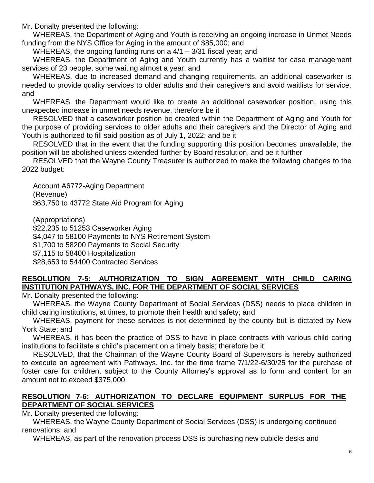Mr. Donalty presented the following:

WHEREAS, the Department of Aging and Youth is receiving an ongoing increase in Unmet Needs funding from the NYS Office for Aging in the amount of \$85,000; and

WHEREAS, the ongoing funding runs on a 4/1 – 3/31 fiscal year; and

WHEREAS, the Department of Aging and Youth currently has a waitlist for case management services of 23 people, some waiting almost a year, and

WHEREAS, due to increased demand and changing requirements, an additional caseworker is needed to provide quality services to older adults and their caregivers and avoid waitlists for service, and

WHEREAS, the Department would like to create an additional caseworker position, using this unexpected increase in unmet needs revenue, therefore be it

RESOLVED that a caseworker position be created within the Department of Aging and Youth for the purpose of providing services to older adults and their caregivers and the Director of Aging and Youth is authorized to fill said position as of July 1, 2022; and be it

RESOLVED that in the event that the funding supporting this position becomes unavailable, the position will be abolished unless extended further by Board resolution, and be it further

RESOLVED that the Wayne County Treasurer is authorized to make the following changes to the 2022 budget:

Account A6772-Aging Department (Revenue) \$63,750 to 43772 State Aid Program for Aging

(Appropriations) \$22,235 to 51253 Caseworker Aging \$4,047 to 58100 Payments to NYS Retirement System \$1,700 to 58200 Payments to Social Security \$7,115 to 58400 Hospitalization \$28,653 to 54400 Contracted Services

# **RESOLUTION 7-5: AUTHORIZATION TO SIGN AGREEMENT WITH CHILD CARING INSTITUTION PATHWAYS, INC. FOR THE DEPARTMENT OF SOCIAL SERVICES**

Mr. Donalty presented the following:

WHEREAS, the Wayne County Department of Social Services (DSS) needs to place children in child caring institutions, at times, to promote their health and safety; and

WHEREAS, payment for these services is not determined by the county but is dictated by New York State; and

WHEREAS, it has been the practice of DSS to have in place contracts with various child caring institutions to facilitate a child's placement on a timely basis; therefore be it

RESOLVED, that the Chairman of the Wayne County Board of Supervisors is hereby authorized to execute an agreement with Pathways, Inc. for the time frame 7/1/22-6/30/25 for the purchase of foster care for children, subject to the County Attorney's approval as to form and content for an amount not to exceed \$375,000.

# **RESOLUTION 7-6: AUTHORIZATION TO DECLARE EQUIPMENT SURPLUS FOR THE DEPARTMENT OF SOCIAL SERVICES**

Mr. Donalty presented the following:

WHEREAS, the Wayne County Department of Social Services (DSS) is undergoing continued renovations; and

WHEREAS, as part of the renovation process DSS is purchasing new cubicle desks and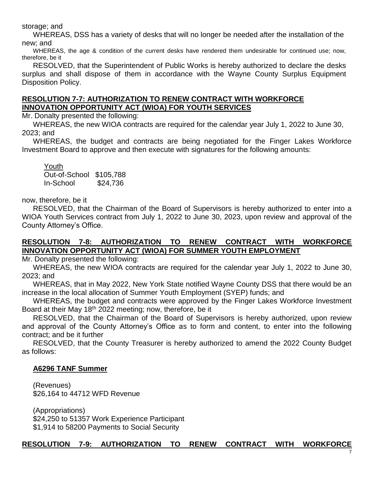storage; and

WHEREAS, DSS has a variety of desks that will no longer be needed after the installation of the new; and

WHEREAS, the age & condition of the current desks have rendered them undesirable for continued use; now, therefore, be it

RESOLVED, that the Superintendent of Public Works is hereby authorized to declare the desks surplus and shall dispose of them in accordance with the Wayne County Surplus Equipment Disposition Policy.

#### **RESOLUTION 7-7: AUTHORIZATION TO RENEW CONTRACT WITH WORKFORCE INNOVATION OPPORTUNITY ACT (WIOA) FOR YOUTH SERVICES**

Mr. Donalty presented the following:

WHEREAS, the new WIOA contracts are required for the calendar year July 1, 2022 to June 30, 2023; and

WHEREAS, the budget and contracts are being negotiated for the Finger Lakes Workforce Investment Board to approve and then execute with signatures for the following amounts:

Youth Out-of-School \$105,788 In-School \$24,736

now, therefore, be it

RESOLVED, that the Chairman of the Board of Supervisors is hereby authorized to enter into a WIOA Youth Services contract from July 1, 2022 to June 30, 2023, upon review and approval of the County Attorney's Office.

### **RESOLUTION 7-8: AUTHORIZATION TO RENEW CONTRACT WITH WORKFORCE INNOVATION OPPORTUNITY ACT (WIOA) FOR SUMMER YOUTH EMPLOYMENT**

Mr. Donalty presented the following:

WHEREAS, the new WIOA contracts are required for the calendar year July 1, 2022 to June 30, 2023; and

WHEREAS, that in May 2022, New York State notified Wayne County DSS that there would be an increase in the local allocation of Summer Youth Employment (SYEP) funds; and

WHEREAS, the budget and contracts were approved by the Finger Lakes Workforce Investment Board at their May 18<sup>th</sup> 2022 meeting; now, therefore, be it

RESOLVED, that the Chairman of the Board of Supervisors is hereby authorized, upon review and approval of the County Attorney's Office as to form and content, to enter into the following contract; and be it further

RESOLVED, that the County Treasurer is hereby authorized to amend the 2022 County Budget as follows:

#### **A6296 TANF Summer**

(Revenues) \$26,164 to 44712 WFD Revenue

(Appropriations) \$24,250 to 51357 Work Experience Participant \$1,914 to 58200 Payments to Social Security

#### **RESOLUTION 7-9: AUTHORIZATION TO RENEW CONTRACT WITH WORKFORCE**

7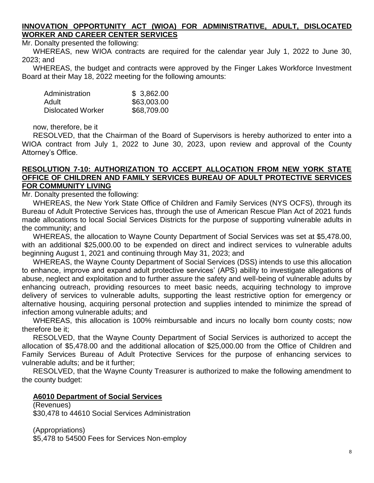#### **INNOVATION OPPORTUNITY ACT (WIOA) FOR ADMINISTRATIVE, ADULT, DISLOCATED WORKER AND CAREER CENTER SERVICES**

Mr. Donalty presented the following:

WHEREAS, new WIOA contracts are required for the calendar year July 1, 2022 to June 30, 2023; and

WHEREAS, the budget and contracts were approved by the Finger Lakes Workforce Investment Board at their May 18, 2022 meeting for the following amounts:

| Administration           | \$3,862.00  |
|--------------------------|-------------|
| Adult                    | \$63,003.00 |
| <b>Dislocated Worker</b> | \$68,709.00 |

now, therefore, be it

RESOLVED, that the Chairman of the Board of Supervisors is hereby authorized to enter into a WIOA contract from July 1, 2022 to June 30, 2023, upon review and approval of the County Attorney's Office.

#### **RESOLUTION 7-10: AUTHORIZATION TO ACCEPT ALLOCATION FROM NEW YORK STATE OFFICE OF CHILDREN AND FAMILY SERVICES BUREAU OF ADULT PROTECTIVE SERVICES FOR COMMUNITY LIVING**

Mr. Donalty presented the following:

WHEREAS, the New York State Office of Children and Family Services (NYS OCFS), through its Bureau of Adult Protective Services has, through the use of American Rescue Plan Act of 2021 funds made allocations to local Social Services Districts for the purpose of supporting vulnerable adults in the community; and

WHEREAS, the allocation to Wayne County Department of Social Services was set at \$5,478.00, with an additional \$25,000.00 to be expended on direct and indirect services to vulnerable adults beginning August 1, 2021 and continuing through May 31, 2023; and

WHEREAS, the Wayne County Department of Social Services (DSS) intends to use this allocation to enhance, improve and expand adult protective services' (APS) ability to investigate allegations of abuse, neglect and exploitation and to further assure the safety and well-being of vulnerable adults by enhancing outreach, providing resources to meet basic needs, acquiring technology to improve delivery of services to vulnerable adults, supporting the least restrictive option for emergency or alternative housing, acquiring personal protection and supplies intended to minimize the spread of infection among vulnerable adults; and

WHEREAS, this allocation is 100% reimbursable and incurs no locally born county costs; now therefore be it;

RESOLVED, that the Wayne County Department of Social Services is authorized to accept the allocation of \$5,478.00 and the additional allocation of \$25,000.00 from the Office of Children and Family Services Bureau of Adult Protective Services for the purpose of enhancing services to vulnerable adults; and be it further;

RESOLVED, that the Wayne County Treasurer is authorized to make the following amendment to the county budget:

#### **A6010 Department of Social Services**

(Revenues) \$30,478 to 44610 Social Services Administration

(Appropriations)

\$5,478 to 54500 Fees for Services Non-employ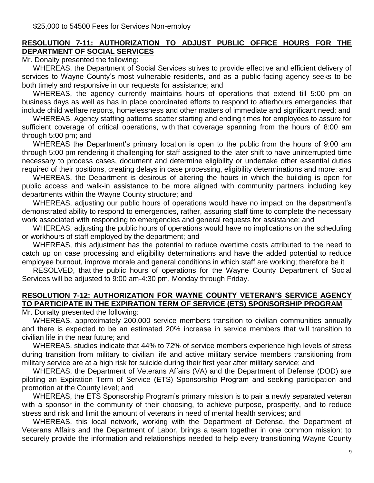### **RESOLUTION 7-11: AUTHORIZATION TO ADJUST PUBLIC OFFICE HOURS FOR THE DEPARTMENT OF SOCIAL SERVICES**

Mr. Donalty presented the following:

WHEREAS, the Department of Social Services strives to provide effective and efficient delivery of services to Wayne County's most vulnerable residents, and as a public-facing agency seeks to be both timely and responsive in our requests for assistance; and

WHEREAS, the agency currently maintains hours of operations that extend till 5:00 pm on business days as well as has in place coordinated efforts to respond to afterhours emergencies that include child welfare reports, homelessness and other matters of immediate and significant need; and

WHEREAS, Agency staffing patterns scatter starting and ending times for employees to assure for sufficient coverage of critical operations, with that coverage spanning from the hours of 8:00 am through 5:00 pm; and

WHEREAS the Department's primary location is open to the public from the hours of 9:00 am through 5:00 pm rendering it challenging for staff assigned to the later shift to have uninterrupted time necessary to process cases, document and determine eligibility or undertake other essential duties required of their positions, creating delays in case processing, eligibility determinations and more; and

WHEREAS, the Department is desirous of altering the hours in which the building is open for public access and walk-in assistance to be more aligned with community partners including key departments within the Wayne County structure; and

WHEREAS, adjusting our public hours of operations would have no impact on the department's demonstrated ability to respond to emergencies, rather, assuring staff time to complete the necessary work associated with responding to emergencies and general requests for assistance; and

WHEREAS, adjusting the public hours of operations would have no implications on the scheduling or workhours of staff employed by the department; and

WHEREAS, this adjustment has the potential to reduce overtime costs attributed to the need to catch up on case processing and eligibility determinations and have the added potential to reduce employee burnout, improve morale and general conditions in which staff are working; therefore be it

RESOLVED, that the public hours of operations for the Wayne County Department of Social Services will be adjusted to 9:00 am-4:30 pm, Monday through Friday.

# **RESOLUTION 7-12: AUTHORIZATION FOR WAYNE COUNTY VETERAN'S SERVICE AGENCY TO PARTICIPATE IN THE EXPIRATION TERM OF SERVICE (ETS) SPONSORSHIP PROGRAM**

Mr. Donalty presented the following:

WHEREAS, approximately 200,000 service members transition to civilian communities annually and there is expected to be an estimated 20% increase in service members that will transition to civilian life in the near future; and

WHEREAS, studies indicate that 44% to 72% of service members experience high levels of stress during transition from military to civilian life and active military service members transitioning from military service are at a high risk for suicide during their first year after military service; and

WHEREAS, the Department of Veterans Affairs (VA) and the Department of Defense (DOD) are piloting an Expiration Term of Service (ETS) Sponsorship Program and seeking participation and promotion at the County level; and

WHEREAS, the ETS Sponsorship Program's primary mission is to pair a newly separated veteran with a sponsor in the community of their choosing, to achieve purpose, prosperity, and to reduce stress and risk and limit the amount of veterans in need of mental health services; and

WHEREAS, this local network, working with the Department of Defense, the Department of Veterans Affairs and the Department of Labor, brings a team together in one common mission: to securely provide the information and relationships needed to help every transitioning Wayne County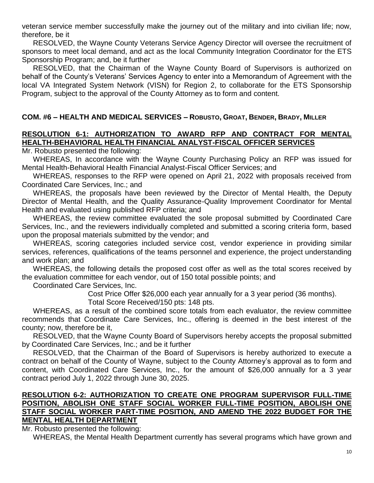veteran service member successfully make the journey out of the military and into civilian life; now, therefore, be it

RESOLVED, the Wayne County Veterans Service Agency Director will oversee the recruitment of sponsors to meet local demand, and act as the local Community Integration Coordinator for the ETS Sponsorship Program; and, be it further

RESOLVED, that the Chairman of the Wayne County Board of Supervisors is authorized on behalf of the County's Veterans' Services Agency to enter into a Memorandum of Agreement with the local VA Integrated System Network (VISN) for Region 2, to collaborate for the ETS Sponsorship Program, subject to the approval of the County Attorney as to form and content.

## **COM. #6 – HEALTH AND MEDICAL SERVICES – ROBUSTO, GROAT, BENDER, BRADY, MILLER**

### **RESOLUTION 6-1: AUTHORIZATION TO AWARD RFP AND CONTRACT FOR MENTAL HEALTH-BEHAVIORAL HEALTH FINANCIAL ANALYST-FISCAL OFFICER SERVICES**

Mr. Robusto presented the following:

WHEREAS, In accordance with the Wayne County Purchasing Policy an RFP was issued for Mental Health-Behavioral Health Financial Analyst-Fiscal Officer Services; and

WHEREAS, responses to the RFP were opened on April 21, 2022 with proposals received from Coordinated Care Services, Inc.; and

WHEREAS, the proposals have been reviewed by the Director of Mental Health, the Deputy Director of Mental Health, and the Quality Assurance-Quality Improvement Coordinator for Mental Health and evaluated using published RFP criteria; and

WHEREAS, the review committee evaluated the sole proposal submitted by Coordinated Care Services, Inc., and the reviewers individually completed and submitted a scoring criteria form, based upon the proposal materials submitted by the vendor; and

WHEREAS, scoring categories included service cost, vendor experience in providing similar services, references, qualifications of the teams personnel and experience, the project understanding and work plan; and

WHEREAS, the following details the proposed cost offer as well as the total scores received by the evaluation committee for each vendor, out of 150 total possible points; and

Coordinated Care Services, Inc.

Cost Price Offer \$26,000 each year annually for a 3 year period (36 months).

Total Score Received/150 pts: 148 pts.

WHEREAS, as a result of the combined score totals from each evaluator, the review committee recommends that Coordinate Care Services, Inc., offering is deemed in the best interest of the county; now, therefore be it,

RESOLVED, that the Wayne County Board of Supervisors hereby accepts the proposal submitted by Coordinated Care Services, Inc.; and be it further

RESOLVED, that the Chairman of the Board of Supervisors is hereby authorized to execute a contract on behalf of the County of Wayne, subject to the County Attorney's approval as to form and content, with Coordinated Care Services, Inc., for the amount of \$26,000 annually for a 3 year contract period July 1, 2022 through June 30, 2025.

#### **RESOLUTION 6-2: AUTHORIZATION TO CREATE ONE PROGRAM SUPERVISOR FULL-TIME POSITION, ABOLISH ONE STAFF SOCIAL WORKER FULL-TIME POSITION, ABOLISH ONE STAFF SOCIAL WORKER PART-TIME POSITION, AND AMEND THE 2022 BUDGET FOR THE MENTAL HEALTH DEPARTMENT**

Mr. Robusto presented the following:

WHEREAS, the Mental Health Department currently has several programs which have grown and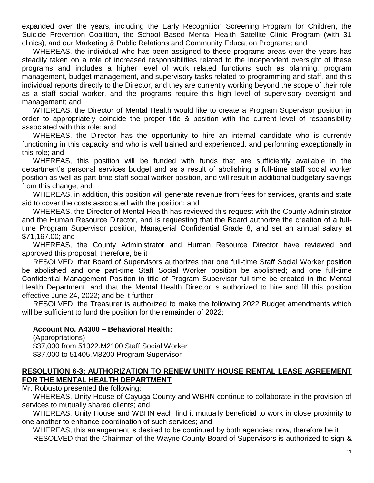expanded over the years, including the Early Recognition Screening Program for Children, the Suicide Prevention Coalition, the School Based Mental Health Satellite Clinic Program (with 31 clinics), and our Marketing & Public Relations and Community Education Programs; and

WHEREAS, the individual who has been assigned to these programs areas over the years has steadily taken on a role of increased responsibilities related to the independent oversight of these programs and includes a higher level of work related functions such as planning, program management, budget management, and supervisory tasks related to programming and staff, and this individual reports directly to the Director, and they are currently working beyond the scope of their role as a staff social worker, and the programs require this high level of supervisory oversight and management; and

WHEREAS, the Director of Mental Health would like to create a Program Supervisor position in order to appropriately coincide the proper title & position with the current level of responsibility associated with this role; and

WHEREAS, the Director has the opportunity to hire an internal candidate who is currently functioning in this capacity and who is well trained and experienced, and performing exceptionally in this role; and

WHEREAS, this position will be funded with funds that are sufficiently available in the department's personal services budget and as a result of abolishing a full-time staff social worker position as well as part-time staff social worker position, and will result in additional budgetary savings from this change; and

WHEREAS, in addition, this position will generate revenue from fees for services, grants and state aid to cover the costs associated with the position; and

WHEREAS, the Director of Mental Health has reviewed this request with the County Administrator and the Human Resource Director, and is requesting that the Board authorize the creation of a fulltime Program Supervisor position, Managerial Confidential Grade 8, and set an annual salary at \$71,167.00; and

WHEREAS, the County Administrator and Human Resource Director have reviewed and approved this proposal; therefore, be it

RESOLVED, that Board of Supervisors authorizes that one full-time Staff Social Worker position be abolished and one part-time Staff Social Worker position be abolished; and one full-time Confidential Management Position in title of Program Supervisor full-time be created in the Mental Health Department, and that the Mental Health Director is authorized to hire and fill this position effective June 24, 2022; and be it further

RESOLVED, the Treasurer is authorized to make the following 2022 Budget amendments which will be sufficient to fund the position for the remainder of 2022:

#### **Account No. A4300 – Behavioral Health:**

(Appropriations) \$37,000 from 51322.M2100 Staff Social Worker \$37,000 to 51405.M8200 Program Supervisor

### **RESOLUTION 6-3: AUTHORIZATION TO RENEW UNITY HOUSE RENTAL LEASE AGREEMENT FOR THE MENTAL HEALTH DEPARTMENT**

Mr. Robusto presented the following:

WHEREAS, Unity House of Cayuga County and WBHN continue to collaborate in the provision of services to mutually shared clients; and

WHEREAS, Unity House and WBHN each find it mutually beneficial to work in close proximity to one another to enhance coordination of such services; and

WHEREAS, this arrangement is desired to be continued by both agencies; now, therefore be it RESOLVED that the Chairman of the Wayne County Board of Supervisors is authorized to sign &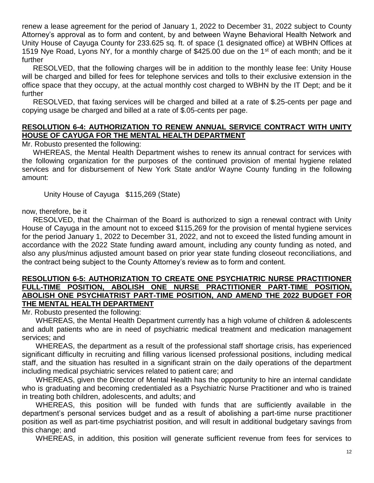renew a lease agreement for the period of January 1, 2022 to December 31, 2022 subject to County Attorney's approval as to form and content, by and between Wayne Behavioral Health Network and Unity House of Cayuga County for 233.625 sq. ft. of space (1 designated office) at WBHN Offices at 1519 Nye Road, Lyons NY, for a monthly charge of \$425.00 due on the 1<sup>st</sup> of each month; and be it further

RESOLVED, that the following charges will be in addition to the monthly lease fee: Unity House will be charged and billed for fees for telephone services and tolls to their exclusive extension in the office space that they occupy, at the actual monthly cost charged to WBHN by the IT Dept; and be it further

RESOLVED, that faxing services will be charged and billed at a rate of \$.25-cents per page and copying usage be charged and billed at a rate of \$.05-cents per page.

#### **RESOLUTION 6-4: AUTHORIZATION TO RENEW ANNUAL SERVICE CONTRACT WITH UNITY HOUSE OF CAYUGA FOR THE MENTAL HEALTH DEPARTMENT**

Mr. Robusto presented the following:

WHEREAS, the Mental Health Department wishes to renew its annual contract for services with the following organization for the purposes of the continued provision of mental hygiene related services and for disbursement of New York State and/or Wayne County funding in the following amount:

Unity House of Cayuga\$115,269 (State)

now, therefore, be it

RESOLVED, that the Chairman of the Board is authorized to sign a renewal contract with Unity House of Cayuga in the amount not to exceed \$115,269 for the provision of mental hygiene services for the period January 1, 2022 to December 31, 2022, and not to exceed the listed funding amount in accordance with the 2022 State funding award amount, including any county funding as noted, and also any plus/minus adjusted amount based on prior year state funding closeout reconciliations, and the contract being subject to the County Attorney's review as to form and content.

#### **RESOLUTION 6-5: AUTHORIZATION TO CREATE ONE PSYCHIATRIC NURSE PRACTITIONER FULL-TIME POSITION, ABOLISH ONE NURSE PRACTITIONER PART-TIME POSITION, ABOLISH ONE PSYCHIATRIST PART-TIME POSITION, AND AMEND THE 2022 BUDGET FOR THE MENTAL HEALTH DEPARTMENT**

Mr. Robusto presented the following:

WHEREAS, the Mental Health Department currently has a high volume of children & adolescents and adult patients who are in need of psychiatric medical treatment and medication management services; and

WHEREAS, the department as a result of the professional staff shortage crisis, has experienced significant difficulty in recruiting and filling various licensed professional positions, including medical staff, and the situation has resulted in a significant strain on the daily operations of the department including medical psychiatric services related to patient care; and

WHEREAS, given the Director of Mental Health has the opportunity to hire an internal candidate who is graduating and becoming credentialed as a Psychiatric Nurse Practitioner and who is trained in treating both children, adolescents, and adults; and

WHEREAS, this position will be funded with funds that are sufficiently available in the department's personal services budget and as a result of abolishing a part-time nurse practitioner position as well as part-time psychiatrist position, and will result in additional budgetary savings from this change; and

WHEREAS, in addition, this position will generate sufficient revenue from fees for services to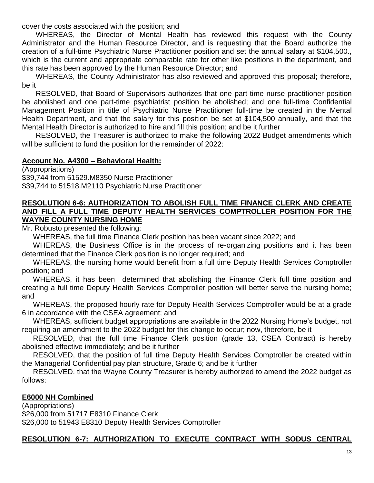cover the costs associated with the position; and

WHEREAS, the Director of Mental Health has reviewed this request with the County Administrator and the Human Resource Director, and is requesting that the Board authorize the creation of a full-time Psychiatric Nurse Practitioner position and set the annual salary at \$104,500., which is the current and appropriate comparable rate for other like positions in the department, and this rate has been approved by the Human Resource Director; and

WHEREAS, the County Administrator has also reviewed and approved this proposal; therefore, be it

RESOLVED, that Board of Supervisors authorizes that one part-time nurse practitioner position be abolished and one part-time psychiatrist position be abolished; and one full-time Confidential Management Position in title of Psychiatric Nurse Practitioner full-time be created in the Mental Health Department, and that the salary for this position be set at \$104,500 annually, and that the Mental Health Director is authorized to hire and fill this position; and be it further

RESOLVED, the Treasurer is authorized to make the following 2022 Budget amendments which will be sufficient to fund the position for the remainder of 2022:

### **Account No. A4300 – Behavioral Health:**

(Appropriations) \$39,744 from 51529.M8350 Nurse Practitioner \$39,744 to 51518.M2110 Psychiatric Nurse Practitioner

#### **RESOLUTION 6-6: AUTHORIZATION TO ABOLISH FULL TIME FINANCE CLERK AND CREATE AND FILL A FULL TIME DEPUTY HEALTH SERVICES COMPTROLLER POSITION FOR THE WAYNE COUNTY NURSING HOME**

Mr. Robusto presented the following:

WHEREAS, the full time Finance Clerk position has been vacant since 2022; and

WHEREAS, the Business Office is in the process of re-organizing positions and it has been determined that the Finance Clerk position is no longer required; and

WHEREAS, the nursing home would benefit from a full time Deputy Health Services Comptroller position; and

WHEREAS, it has been determined that abolishing the Finance Clerk full time position and creating a full time Deputy Health Services Comptroller position will better serve the nursing home; and

WHEREAS, the proposed hourly rate for Deputy Health Services Comptroller would be at a grade 6 in accordance with the CSEA agreement; and

WHEREAS, sufficient budget appropriations are available in the 2022 Nursing Home's budget, not requiring an amendment to the 2022 budget for this change to occur; now, therefore, be it

RESOLVED, that the full time Finance Clerk position (grade 13, CSEA Contract) is hereby abolished effective immediately; and be it further

RESOLVED, that the position of full time Deputy Health Services Comptroller be created within the Managerial Confidential pay plan structure, Grade 6; and be it further

RESOLVED, that the Wayne County Treasurer is hereby authorized to amend the 2022 budget as follows:

### **E6000 NH Combined**

(Appropriations) \$26,000 from 51717 E8310 Finance Clerk \$26,000 to 51943 E8310 Deputy Health Services Comptroller

### **RESOLUTION 6-7: AUTHORIZATION TO EXECUTE CONTRACT WITH SODUS CENTRAL**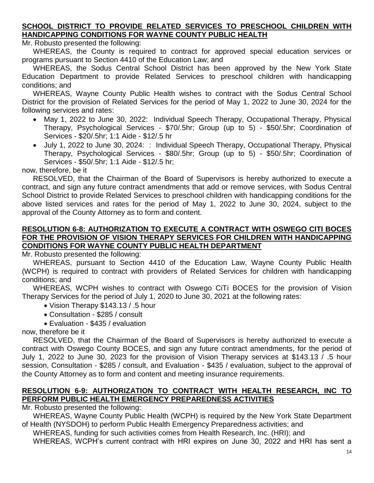### **SCHOOL DISTRICT TO PROVIDE RELATED SERVICES TO PRESCHOOL CHILDREN WITH HANDICAPPING CONDITIONS FOR WAYNE COUNTY PUBLIC HEALTH**

Mr. Robusto presented the following:

WHEREAS, the County is required to contract for approved special education services or programs pursuant to Section 4410 of the Education Law; and

WHEREAS, the Sodus Central School District has been approved by the New York State Education Department to provide Related Services to preschool children with handicapping conditions; and

WHEREAS, Wayne County Public Health wishes to contract with the Sodus Central School District for the provision of Related Services for the period of May 1, 2022 to June 30, 2024 for the following services and rates:

- May 1, 2022 to June 30, 2022: Individual Speech Therapy, Occupational Therapy, Physical Therapy, Psychological Services - \$70/.5hr; Group (up to 5) - \$50/.5hr; Coordination of Services - \$20/.5hr; 1:1 Aide - \$12/.5 hr
- July 1, 2022 to June 30, 2024: : Individual Speech Therapy, Occupational Therapy, Physical Therapy, Psychological Services - \$80/.5hr; Group (up to 5) - \$50/.5hr; Coordination of Services - \$50/.5hr; 1:1 Aide - \$12/.5 hr;

now, therefore, be it

RESOLVED, that the Chairman of the Board of Supervisors is hereby authorized to execute a contract, and sign any future contract amendments that add or remove services, with Sodus Central School District to provide Related Services to preschool children with handicapping conditions for the above listed services and rates for the period of May 1, 2022 to June 30, 2024, subject to the approval of the County Attorney as to form and content.

#### **RESOLUTION 6-8: AUTHORIZATION TO EXECUTE A CONTRACT WITH OSWEGO CITI BOCES FOR THE PROVISION OF VISION THERAPY SERVICES FOR CHILDREN WITH HANDICAPPING CONDITIONS FOR WAYNE COUNTY PUBLIC HEALTH DEPARTMENT**

Mr. Robusto presented the following:

WHEREAS, pursuant to Section 4410 of the Education Law, Wayne County Public Health (WCPH) is required to contract with providers of Related Services for children with handicapping conditions; and

WHEREAS, WCPH wishes to contract with Oswego CiTi BOCES for the provision of Vision Therapy Services for the period of July 1, 2020 to June 30, 2021 at the following rates:

- Vision Therapy \$143.13 / .5 hour
- Consultation \$285 / consult
- Evaluation \$435 / evaluation

now, therefore be it

RESOLVED, that the Chairman of the Board of Supervisors is hereby authorized to execute a contract with Oswego County BOCES, and sign any future contract amendments, for the period of July 1, 2022 to June 30, 2023 for the provision of Vision Therapy services at \$143.13 / .5 hour session, Consultation - \$285 / consult, and Evaluation - \$435 / evaluation, subject to the approval of the County Attorney as to form and content and meeting insurance requirements.

# **RESOLUTION 6-9: AUTHORIZATION TO CONTRACT WITH HEALTH RESEARCH, INC TO PERFORM PUBLIC HEALTH EMERGENCY PREPAREDNESS ACTIVITIES**

Mr. Robusto presented the following:

WHEREAS, Wayne County Public Health (WCPH) is required by the New York State Department of Health (NYSDOH) to perform Public Health Emergency Preparedness activities; and

WHEREAS, funding for such activities comes from Health Research, Inc. (HRI); and

WHEREAS, WCPH's current contract with HRI expires on June 30, 2022 and HRI has sent a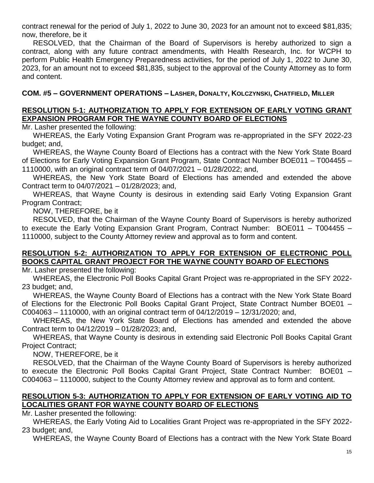contract renewal for the period of July 1, 2022 to June 30, 2023 for an amount not to exceed \$81,835; now, therefore, be it

RESOLVED, that the Chairman of the Board of Supervisors is hereby authorized to sign a contract, along with any future contract amendments, with Health Research, Inc. for WCPH to perform Public Health Emergency Preparedness activities, for the period of July 1, 2022 to June 30, 2023, for an amount not to exceed \$81,835, subject to the approval of the County Attorney as to form and content.

### **COM. #5 – GOVERNMENT OPERATIONS – LASHER, DONALTY, KOLCZYNSKI, CHATFIELD, MILLER**

### **RESOLUTION 5-1: AUTHORIZATION TO APPLY FOR EXTENSION OF EARLY VOTING GRANT EXPANSION PROGRAM FOR THE WAYNE COUNTY BOARD OF ELECTIONS**

Mr. Lasher presented the following:

WHEREAS, the Early Voting Expansion Grant Program was re-appropriated in the SFY 2022-23 budget; and,

WHEREAS, the Wayne County Board of Elections has a contract with the New York State Board of Elections for Early Voting Expansion Grant Program, State Contract Number BOE011 – T004455 – 1110000, with an original contract term of 04/07/2021 – 01/28/2022; and,

WHEREAS, the New York State Board of Elections has amended and extended the above Contract term to 04/07/2021 – 01/28/2023; and,

WHEREAS, that Wayne County is desirous in extending said Early Voting Expansion Grant Program Contract;

NOW, THEREFORE, be it

RESOLVED, that the Chairman of the Wayne County Board of Supervisors is hereby authorized to execute the Early Voting Expansion Grant Program, Contract Number: BOE011 – T004455 – 1110000, subject to the County Attorney review and approval as to form and content.

### **RESOLUTION 5-2: AUTHORIZATION TO APPLY FOR EXTENSION OF ELECTRONIC POLL BOOKS CAPITAL GRANT PROJECT FOR THE WAYNE COUNTY BOARD OF ELECTIONS**

Mr. Lasher presented the following:

WHEREAS, the Electronic Poll Books Capital Grant Project was re-appropriated in the SFY 2022- 23 budget; and,

WHEREAS, the Wayne County Board of Elections has a contract with the New York State Board of Elections for the Electronic Poll Books Capital Grant Project, State Contract Number BOE01 – C004063 – 1110000, with an original contract term of 04/12/2019 – 12/31/2020; and,

WHEREAS, the New York State Board of Elections has amended and extended the above Contract term to 04/12/2019 – 01/28/2023; and,

WHEREAS, that Wayne County is desirous in extending said Electronic Poll Books Capital Grant Project Contract;

NOW, THEREFORE, be it

RESOLVED, that the Chairman of the Wayne County Board of Supervisors is hereby authorized to execute the Electronic Poll Books Capital Grant Project, State Contract Number: BOE01 – C004063 – 1110000, subject to the County Attorney review and approval as to form and content.

### **RESOLUTION 5-3: AUTHORIZATION TO APPLY FOR EXTENSION OF EARLY VOTING AID TO LOCALITIES GRANT FOR WAYNE COUNTY BOARD OF ELECTIONS**

Mr. Lasher presented the following:

WHEREAS, the Early Voting Aid to Localities Grant Project was re-appropriated in the SFY 2022- 23 budget; and,

WHEREAS, the Wayne County Board of Elections has a contract with the New York State Board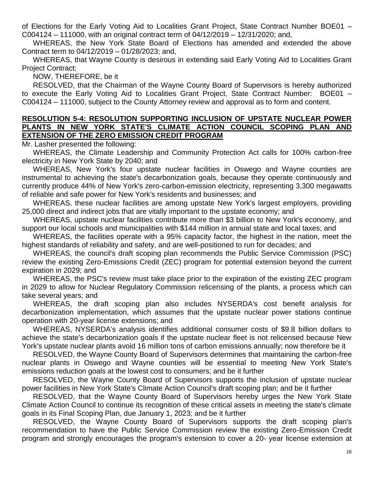of Elections for the Early Voting Aid to Localities Grant Project, State Contract Number BOE01 – C004124 – 111000, with an original contract term of 04/12/2019 – 12/31/2020; and,

WHEREAS, the New York State Board of Elections has amended and extended the above Contract term to 04/12/2019 – 01/28/2023; and,

WHEREAS, that Wayne County is desirous in extending said Early Voting Aid to Localities Grant Project Contract;

NOW, THEREFORE, be it

RESOLVED, that the Chairman of the Wayne County Board of Supervisors is hereby authorized to execute the Early Voting Aid to Localities Grant Project, State Contract Number: BOE01 – C004124 – 111000, subject to the County Attorney review and approval as to form and content.

#### **RESOLUTION 5-4: RESOLUTION SUPPORTING INCLUSION OF UPSTATE NUCLEAR POWER PLANTS IN NEW YORK STATE'S CLIMATE ACTION COUNCIL SCOPING PLAN AND EXTENSION OF THE ZERO EMISSION CREDIT PROGRAM**

Mr. Lasher presented the following:

WHEREAS, the Climate Leadership and Community Protection Act calls for 100% carbon-free electricity in New York State by 2040; and

WHEREAS, New York's four upstate nuclear facilities in Oswego and Wayne counties are instrumental to achieving the state's decarbonization goals, because they operate continuously and currently produce 44% of New York's zero-carbon-emission electricity, representing 3,300 megawatts of reliable and safe power for New York's residents and businesses; and

WHEREAS, these nuclear facilities are among upstate New York's largest employers, providing 25,000 direct and indirect jobs that are vitally important to the upstate economy; and

WHEREAS, upstate nuclear facilities contribute more than \$3 billion to New York's economy, and support our local schools and municipalities with \$144 million in annual state and local taxes; and

WHEREAS, the facilities operate with a 95% capacity factor, the highest in the nation, meet the highest standards of reliability and safety, and are well-positioned to run for decades; and

WHEREAS, the council's draft scoping plan recommends the Public Service Commission (PSC) review the existing Zero-Emissions Credit (ZEC) program for potential extension beyond the current expiration in 2029; and

WHEREAS, the PSC's review must take place prior to the expiration of the existing ZEC program in 2029 to allow for Nuclear Regulatory Commission relicensing of the plants, a process which can take several years; and

WHEREAS, the draft scoping plan also includes NYSERDA's cost benefit analysis for decarbonization implementation, which assumes that the upstate nuclear power stations continue operation with 20-year license extensions; and

WHEREAS, NYSERDA's analysis identifies additional consumer costs of \$9.8 billion dollars to achieve the state's decarbonization goals if the upstate nuclear fleet is not relicensed because New York's upstate nuclear plants avoid 16 million tons of carbon emissions annually; now therefore be it

RESOLVED, the Wayne County Board of Supervisors determines that maintaining the carbon-free nuclear plants in Oswego and Wayne counties will be essential to meeting New York State's emissions reduction goals at the lowest cost to consumers; and be it further

RESOLVED, the Wayne County Board of Supervisors supports the inclusion of upstate nuclear power facilities in New York State's Climate Action Council's draft scoping plan; and be it further

RESOLVED, that the Wayne County Board of Supervisors hereby urges the New York State Climate Action Council to continue its recognition of these critical assets in meeting the state's climate goals in its Final Scoping Plan, due January 1, 2023; and be it further

RESOLVED, the Wayne County Board of Supervisors supports the draft scoping plan's recommendation to have the Public Service Commission review the existing Zero-Emission Credit program and strongly encourages the program's extension to cover a 20- year license extension at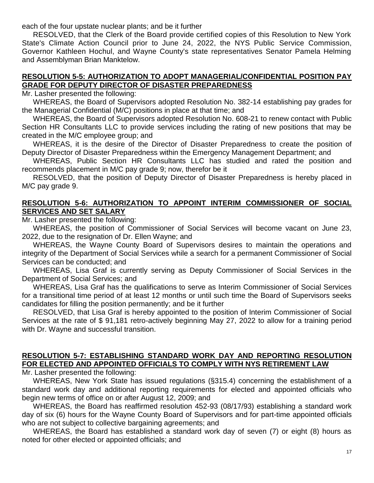each of the four upstate nuclear plants; and be it further

RESOLVED, that the Clerk of the Board provide certified copies of this Resolution to New York State's Climate Action Council prior to June 24, 2022, the NYS Public Service Commission, Governor Kathleen Hochul, and Wayne County's state representatives Senator Pamela Helming and Assemblyman Brian Manktelow.

#### **RESOLUTION 5-5: AUTHORIZATION TO ADOPT MANAGERIAL/CONFIDENTIAL POSITION PAY GRADE FOR DEPUTY DIRECTOR OF DISASTER PREPAREDNESS**

Mr. Lasher presented the following:

WHEREAS, the Board of Supervisors adopted Resolution No. 382-14 establishing pay grades for the Managerial Confidential (M/C) positions in place at that time; and

WHEREAS, the Board of Supervisors adopted Resolution No. 608-21 to renew contact with Public Section HR Consultants LLC to provide services including the rating of new positions that may be created in the M/C employee group; and

WHEREAS, it is the desire of the Director of Disaster Preparedness to create the position of Deputy Director of Disaster Preparedness within the Emergency Management Department; and

WHEREAS, Public Section HR Consultants LLC has studied and rated the position and recommends placement in M/C pay grade 9; now, therefor be it

RESOLVED, that the position of Deputy Director of Disaster Preparedness is hereby placed in M/C pay grade 9.

### **RESOLUTION 5-6: AUTHORIZATION TO APPOINT INTERIM COMMISSIONER OF SOCIAL SERVICES AND SET SALARY**

Mr. Lasher presented the following:

WHEREAS, the position of Commissioner of Social Services will become vacant on June 23, 2022, due to the resignation of Dr. Ellen Wayne; and

WHEREAS, the Wayne County Board of Supervisors desires to maintain the operations and integrity of the Department of Social Services while a search for a permanent Commissioner of Social Services can be conducted; and

WHEREAS, Lisa Graf is currently serving as Deputy Commissioner of Social Services in the Department of Social Services; and

WHEREAS, Lisa Graf has the qualifications to serve as Interim Commissioner of Social Services for a transitional time period of at least 12 months or until such time the Board of Supervisors seeks candidates for filling the position permanently; and be it further

RESOLVED, that Lisa Graf is hereby appointed to the position of Interim Commissioner of Social Services at the rate of \$ 91,181 retro-actively beginning May 27, 2022 to allow for a training period with Dr. Wayne and successful transition.

### **RESOLUTION 5-7: ESTABLISHING STANDARD WORK DAY AND REPORTING RESOLUTION FOR ELECTED AND APPOINTED OFFICIALS TO COMPLY WITH NYS RETIREMENT LAW**

Mr. Lasher presented the following:

WHEREAS, New York State has issued regulations (§315.4) concerning the establishment of a standard work day and additional reporting requirements for elected and appointed officials who begin new terms of office on or after August 12, 2009; and

WHEREAS, the Board has reaffirmed resolution 452-93 (08/17/93) establishing a standard work day of six (6) hours for the Wayne County Board of Supervisors and for part-time appointed officials who are not subject to collective bargaining agreements; and

WHEREAS, the Board has established a standard work day of seven (7) or eight (8) hours as noted for other elected or appointed officials; and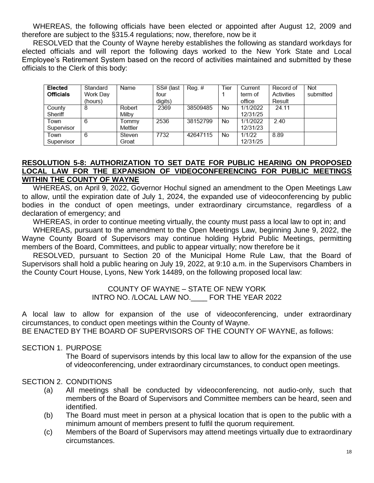WHEREAS, the following officials have been elected or appointed after August 12, 2009 and therefore are subject to the §315.4 regulations; now, therefore, now be it

RESOLVED that the County of Wayne hereby establishes the following as standard workdays for elected officials and will report the following days worked to the New York State and Local Employee's Retirement System based on the record of activities maintained and submitted by these officials to the Clerk of this body:

| Elected          | Standard | Name    | SS# (last | $\text{Reg.}\#$ | Tier | Current  | Record of  | Not       |
|------------------|----------|---------|-----------|-----------------|------|----------|------------|-----------|
| <b>Officials</b> | Work Day |         | four      |                 |      | term of  | Activities | submitted |
|                  | (hours)  |         | digits)   |                 |      | office   | Result     |           |
| County           | 8        | Robert  | 2369      | 38509485        | No   | 1/1/2022 | 24.11      |           |
| Sheriff          |          | Milby   |           |                 |      | 12/31/25 |            |           |
| Town             | 6        | Tommy   | 2536      | 38152799        | No   | 1/1/2022 | 240        |           |
| Supervisor       |          | Mettler |           |                 |      | 12/31/23 |            |           |
| Town             | 6        | Steven  | 7732      | 42647115        | No   | 1/1/22   | 8.89       |           |
| Supervisor       |          | Groat   |           |                 |      | 12/31/25 |            |           |

#### **RESOLUTION 5-8: AUTHORIZATION TO SET DATE FOR PUBLIC HEARING ON PROPOSED LOCAL LAW FOR THE EXPANSION OF VIDEOCONFERENCING FOR PUBLIC MEETINGS WITHIN THE COUNTY OF WAYNE**

WHEREAS, on April 9, 2022, Governor Hochul signed an amendment to the Open Meetings Law to allow, until the expiration date of July 1, 2024, the expanded use of videoconferencing by public bodies in the conduct of open meetings, under extraordinary circumstance, regardless of a declaration of emergency; and

WHEREAS, in order to continue meeting virtually, the county must pass a local law to opt in; and

WHEREAS, pursuant to the amendment to the Open Meetings Law, beginning June 9, 2022, the Wayne County Board of Supervisors may continue holding Hybrid Public Meetings, permitting members of the Board, Committees, and public to appear virtually; now therefore be it

RESOLVED, pursuant to Section 20 of the Municipal Home Rule Law, that the Board of Supervisors shall hold a public hearing on July 19, 2022, at 9:10 a.m. in the Supervisors Chambers in the County Court House, Lyons, New York 14489, on the following proposed local law:

#### COUNTY OF WAYNE – STATE OF NEW YORK INTRO NO. /LOCAL LAW NO.\_\_\_\_ FOR THE YEAR 2022

A local law to allow for expansion of the use of videoconferencing, under extraordinary circumstances, to conduct open meetings within the County of Wayne.

BE ENACTED BY THE BOARD OF SUPERVISORS OF THE COUNTY OF WAYNE, as follows:

#### SECTION 1. PURPOSE

The Board of supervisors intends by this local law to allow for the expansion of the use of videoconferencing, under extraordinary circumstances, to conduct open meetings.

#### SECTION 2. CONDITIONS

- (a) All meetings shall be conducted by videoconferencing, not audio-only, such that members of the Board of Supervisors and Committee members can be heard, seen and identified.
- (b) The Board must meet in person at a physical location that is open to the public with a minimum amount of members present to fulfil the quorum requirement.
- (c) Members of the Board of Supervisors may attend meetings virtually due to extraordinary circumstances.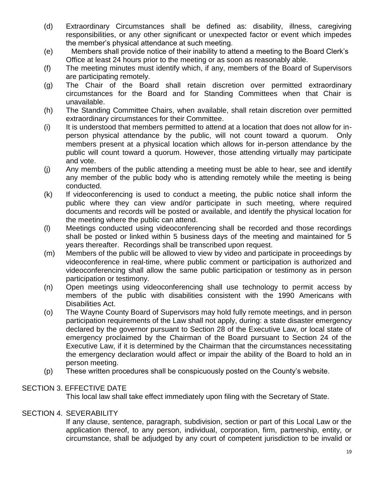- (d) Extraordinary Circumstances shall be defined as: disability, illness, caregiving responsibilities, or any other significant or unexpected factor or event which impedes the member's physical attendance at such meeting.
- (e) Members shall provide notice of their inability to attend a meeting to the Board Clerk's Office at least 24 hours prior to the meeting or as soon as reasonably able.
- (f) The meeting minutes must identify which, if any, members of the Board of Supervisors are participating remotely.
- (g) The Chair of the Board shall retain discretion over permitted extraordinary circumstances for the Board and for Standing Committees when that Chair is unavailable.
- (h) The Standing Committee Chairs, when available, shall retain discretion over permitted extraordinary circumstances for their Committee.
- (i) It is understood that members permitted to attend at a location that does not allow for inperson physical attendance by the public, will not count toward a quorum. Only members present at a physical location which allows for in-person attendance by the public will count toward a quorum. However, those attending virtually may participate and vote.
- (j) Any members of the public attending a meeting must be able to hear, see and identify any member of the public body who is attending remotely while the meeting is being conducted.
- (k) If videoconferencing is used to conduct a meeting, the public notice shall inform the public where they can view and/or participate in such meeting, where required documents and records will be posted or available, and identify the physical location for the meeting where the public can attend.
- (l) Meetings conducted using videoconferencing shall be recorded and those recordings shall be posted or linked within 5 business days of the meeting and maintained for 5 years thereafter. Recordings shall be transcribed upon request.
- (m) Members of the public will be allowed to view by video and participate in proceedings by videoconference in real-time, where public comment or participation is authorized and videoconferencing shall allow the same public participation or testimony as in person participation or testimony.
- (n) Open meetings using videoconferencing shall use technology to permit access by members of the public with disabilities consistent with the 1990 Americans with Disabilities Act.
- (o) The Wayne County Board of Supervisors may hold fully remote meetings, and in person participation requirements of the Law shall not apply, during: a state disaster emergency declared by the governor pursuant to Section 28 of the Executive Law, or local state of emergency proclaimed by the Chairman of the Board pursuant to Section 24 of the Executive Law, if it is determined by the Chairman that the circumstances necessitating the emergency declaration would affect or impair the ability of the Board to hold an in person meeting.
- (p) These written procedures shall be conspicuously posted on the County's website.

#### SECTION 3. EFFECTIVE DATE

This local law shall take effect immediately upon filing with the Secretary of State.

#### SECTION 4. SEVERABILITY

If any clause, sentence, paragraph, subdivision, section or part of this Local Law or the application thereof, to any person, individual, corporation, firm, partnership, entity, or circumstance, shall be adjudged by any court of competent jurisdiction to be invalid or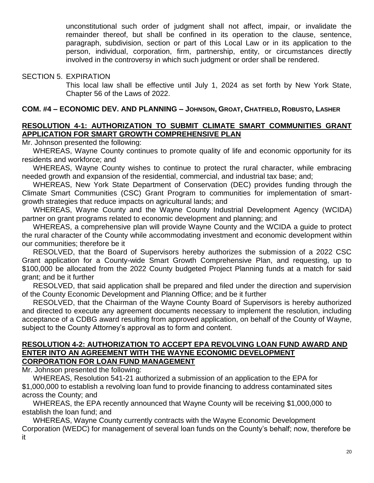unconstitutional such order of judgment shall not affect, impair, or invalidate the remainder thereof, but shall be confined in its operation to the clause, sentence, paragraph, subdivision, section or part of this Local Law or in its application to the person, individual, corporation, firm, partnership, entity, or circumstances directly involved in the controversy in which such judgment or order shall be rendered.

#### SECTION 5. EXPIRATION

This local law shall be effective until July 1, 2024 as set forth by New York State, Chapter 56 of the Laws of 2022.

### **COM. #4 – ECONOMIC DEV. AND PLANNING – JOHNSON, GROAT, CHATFIELD, ROBUSTO, LASHER**

#### **RESOLUTION 4-1: AUTHORIZATION TO SUBMIT CLIMATE SMART COMMUNITIES GRANT APPLICATION FOR SMART GROWTH COMPREHENSIVE PLAN**

Mr. Johnson presented the following:

WHEREAS, Wayne County continues to promote quality of life and economic opportunity for its residents and workforce; and

WHEREAS, Wayne County wishes to continue to protect the rural character, while embracing needed growth and expansion of the residential, commercial, and industrial tax base; and;

WHEREAS, New York State Department of Conservation (DEC) provides funding through the Climate Smart Communities (CSC) Grant Program to communities for implementation of smartgrowth strategies that reduce impacts on agricultural lands; and

WHEREAS, Wayne County and the Wayne County Industrial Development Agency (WCIDA) partner on grant programs related to economic development and planning; and

WHEREAS, a comprehensive plan will provide Wayne County and the WCIDA a guide to protect the rural character of the County while accommodating investment and economic development within our communities; therefore be it

RESOLVED, that the Board of Supervisors hereby authorizes the submission of a 2022 CSC Grant application for a County-wide Smart Growth Comprehensive Plan, and requesting, up to \$100,000 be allocated from the 2022 County budgeted Project Planning funds at a match for said grant; and be it further

RESOLVED, that said application shall be prepared and filed under the direction and supervision of the County Economic Development and Planning Office; and be it further

RESOLVED, that the Chairman of the Wayne County Board of Supervisors is hereby authorized and directed to execute any agreement documents necessary to implement the resolution, including acceptance of a CDBG award resulting from approved application, on behalf of the County of Wayne, subject to the County Attorney's approval as to form and content.

#### **RESOLUTION 4-2: AUTHORIZATION TO ACCEPT EPA REVOLVING LOAN FUND AWARD AND ENTER INTO AN AGREEMENT WITH THE WAYNE ECONOMIC DEVELOPMENT CORPORATION FOR LOAN FUND MANAGEMENT**

Mr. Johnson presented the following:

WHEREAS, Resolution 541-21 authorized a submission of an application to the EPA for \$1,000,000 to establish a revolving loan fund to provide financing to address contaminated sites across the County; and

WHEREAS, the EPA recently announced that Wayne County will be receiving \$1,000,000 to establish the loan fund; and

WHEREAS, Wayne County currently contracts with the Wayne Economic Development Corporation (WEDC) for management of several loan funds on the County's behalf; now, therefore be it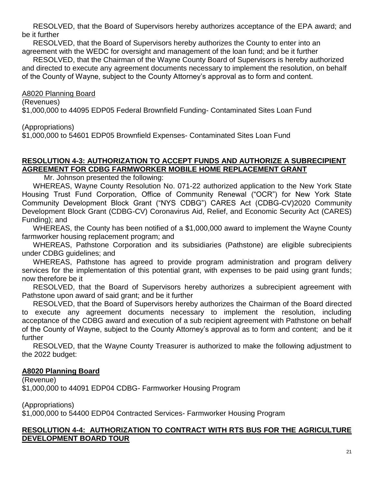RESOLVED, that the Board of Supervisors hereby authorizes acceptance of the EPA award; and be it further

RESOLVED, that the Board of Supervisors hereby authorizes the County to enter into an agreement with the WEDC for oversight and management of the loan fund; and be it further

RESOLVED, that the Chairman of the Wayne County Board of Supervisors is hereby authorized and directed to execute any agreement documents necessary to implement the resolution, on behalf of the County of Wayne, subject to the County Attorney's approval as to form and content.

A8020 Planning Board

(Revenues)

\$1,000,000 to 44095 EDP05 Federal Brownfield Funding- Contaminated Sites Loan Fund

(Appropriations)

\$1,000,000 to 54601 EDP05 Brownfield Expenses- Contaminated Sites Loan Fund

# **RESOLUTION 4-3: AUTHORIZATION TO ACCEPT FUNDS AND AUTHORIZE A SUBRECIPIENT AGREEMENT FOR CDBG FARMWORKER MOBILE HOME REPLACEMENT GRANT**

Mr. Johnson presented the following:

WHEREAS, Wayne County Resolution No. 071-22 authorized application to the New York State Housing Trust Fund Corporation, Office of Community Renewal ("OCR") for New York State Community Development Block Grant ("NYS CDBG") CARES Act (CDBG-CV)2020 Community Development Block Grant (CDBG-CV) Coronavirus Aid, Relief, and Economic Security Act (CARES) Funding); and

WHEREAS, the County has been notified of a \$1,000,000 award to implement the Wayne County farmworker housing replacement program; and

WHEREAS, Pathstone Corporation and its subsidiaries (Pathstone) are eligible subrecipients under CDBG guidelines; and

WHEREAS, Pathstone has agreed to provide program administration and program delivery services for the implementation of this potential grant, with expenses to be paid using grant funds; now therefore be it

RESOLVED, that the Board of Supervisors hereby authorizes a subrecipient agreement with Pathstone upon award of said grant; and be it further

RESOLVED, that the Board of Supervisors hereby authorizes the Chairman of the Board directed to execute any agreement documents necessary to implement the resolution, including acceptance of the CDBG award and execution of a sub recipient agreement with Pathstone on behalf of the County of Wayne, subject to the County Attorney's approval as to form and content; and be it further

RESOLVED, that the Wayne County Treasurer is authorized to make the following adjustment to the 2022 budget:

### **A8020 Planning Board**

(Revenue) \$1,000,000 to 44091 EDP04 CDBG- Farmworker Housing Program

(Appropriations)

\$1,000,000 to 54400 EDP04 Contracted Services- Farmworker Housing Program

#### **RESOLUTION 4-4: AUTHORIZATION TO CONTRACT WITH RTS BUS FOR THE AGRICULTURE DEVELOPMENT BOARD TOUR**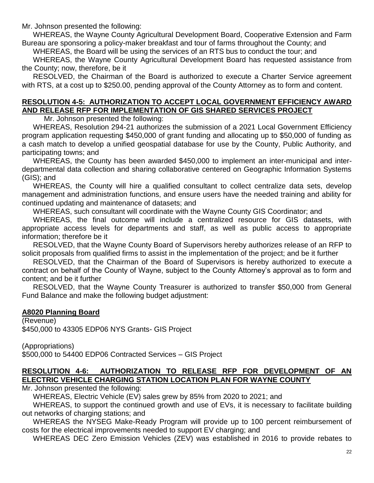Mr. Johnson presented the following:

WHEREAS, the Wayne County Agricultural Development Board, Cooperative Extension and Farm Bureau are sponsoring a policy-maker breakfast and tour of farms throughout the County; and

WHEREAS, the Board will be using the services of an RTS bus to conduct the tour; and

WHEREAS, the Wayne County Agricultural Development Board has requested assistance from the County; now, therefore, be it

RESOLVED, the Chairman of the Board is authorized to execute a Charter Service agreement with RTS, at a cost up to \$250.00, pending approval of the County Attorney as to form and content.

# **RESOLUTION 4-5: AUTHORIZATION TO ACCEPT LOCAL GOVERNMENT EFFICIENCY AWARD AND RELEASE RFP FOR IMPLEMENTATION OF GIS SHARED SERVICES PROJECT**

Mr. Johnson presented the following:

WHEREAS, Resolution 294-21 authorizes the submission of a 2021 Local Government Efficiency program application requesting \$450,000 of grant funding and allocating up to \$50,000 of funding as a cash match to develop a unified geospatial database for use by the County, Public Authority, and participating towns; and

WHEREAS, the County has been awarded \$450,000 to implement an inter-municipal and interdepartmental data collection and sharing collaborative centered on Geographic Information Systems (GIS); and

WHEREAS, the County will hire a qualified consultant to collect centralize data sets, develop management and administration functions, and ensure users have the needed training and ability for continued updating and maintenance of datasets; and

WHEREAS, such consultant will coordinate with the Wayne County GIS Coordinator; and

WHEREAS, the final outcome will include a centralized resource for GIS datasets, with appropriate access levels for departments and staff, as well as public access to appropriate information; therefore be it

RESOLVED, that the Wayne County Board of Supervisors hereby authorizes release of an RFP to solicit proposals from qualified firms to assist in the implementation of the project; and be it further

RESOLVED, that the Chairman of the Board of Supervisors is hereby authorized to execute a contract on behalf of the County of Wayne, subject to the County Attorney's approval as to form and content; and be it further

RESOLVED, that the Wayne County Treasurer is authorized to transfer \$50,000 from General Fund Balance and make the following budget adjustment:

### **A8020 Planning Board**

(Revenue) \$450,000 to 43305 EDP06 NYS Grants- GIS Project

(Appropriations) \$500,000 to 54400 EDP06 Contracted Services – GIS Project

# **RESOLUTION 4-6: AUTHORIZATION TO RELEASE RFP FOR DEVELOPMENT OF AN ELECTRIC VEHICLE CHARGING STATION LOCATION PLAN FOR WAYNE COUNTY**

Mr. Johnson presented the following:

WHEREAS, Electric Vehicle (EV) sales grew by 85% from 2020 to 2021; and

WHEREAS, to support the continued growth and use of EVs, it is necessary to facilitate building out networks of charging stations; and

WHEREAS the NYSEG Make-Ready Program will provide up to 100 percent reimbursement of costs for the electrical improvements needed to support EV charging; and

WHEREAS DEC Zero Emission Vehicles (ZEV) was established in 2016 to provide rebates to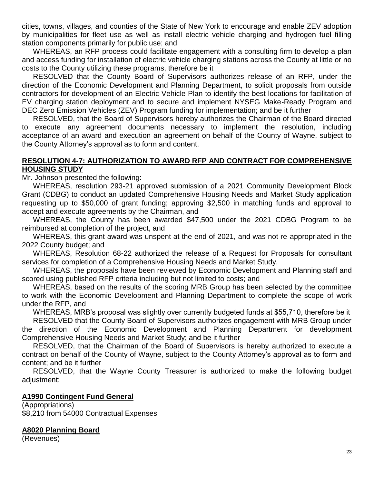cities, towns, villages, and counties of the State of New York to encourage and enable ZEV adoption by municipalities for fleet use as well as install electric vehicle charging and hydrogen fuel filling station components primarily for public use; and

WHEREAS, an RFP process could facilitate engagement with a consulting firm to develop a plan and access funding for installation of electric vehicle charging stations across the County at little or no costs to the County utilizing these programs, therefore be it

RESOLVED that the County Board of Supervisors authorizes release of an RFP, under the direction of the Economic Development and Planning Department, to solicit proposals from outside contractors for development of an Electric Vehicle Plan to identify the best locations for facilitation of EV charging station deployment and to secure and implement NYSEG Make-Ready Program and DEC Zero Emission Vehicles (ZEV) Program funding for implementation; and be it further

RESOLVED, that the Board of Supervisors hereby authorizes the Chairman of the Board directed to execute any agreement documents necessary to implement the resolution, including acceptance of an award and execution an agreement on behalf of the County of Wayne, subject to the County Attorney's approval as to form and content.

#### **RESOLUTION 4-7: AUTHORIZATION TO AWARD RFP AND CONTRACT FOR COMPREHENSIVE HOUSING STUDY**

Mr. Johnson presented the following:

WHEREAS, resolution 293-21 approved submission of a 2021 Community Development Block Grant (CDBG) to conduct an updated Comprehensive Housing Needs and Market Study application requesting up to \$50,000 of grant funding; approving \$2,500 in matching funds and approval to accept and execute agreements by the Chairman, and

WHEREAS, the County has been awarded \$47,500 under the 2021 CDBG Program to be reimbursed at completion of the project, and

WHEREAS, this grant award was unspent at the end of 2021, and was not re-appropriated in the 2022 County budget; and

WHEREAS, Resolution 68-22 authorized the release of a Request for Proposals for consultant services for completion of a Comprehensive Housing Needs and Market Study,

WHEREAS, the proposals have been reviewed by Economic Development and Planning staff and scored using published RFP criteria including but not limited to costs; and

WHEREAS, based on the results of the scoring MRB Group has been selected by the committee to work with the Economic Development and Planning Department to complete the scope of work under the RFP, and

WHEREAS, MRB's proposal was slightly over currently budgeted funds at \$55,710, therefore be it RESOLVED that the County Board of Supervisors authorizes engagement with MRB Group under

the direction of the Economic Development and Planning Department for development Comprehensive Housing Needs and Market Study; and be it further

RESOLVED, that the Chairman of the Board of Supervisors is hereby authorized to execute a contract on behalf of the County of Wayne, subject to the County Attorney's approval as to form and content; and be it further

RESOLVED, that the Wayne County Treasurer is authorized to make the following budget adjustment:

#### **A1990 Contingent Fund General**

(Appropriations) \$8,210 from 54000 Contractual Expenses

#### **A8020 Planning Board**

(Revenues)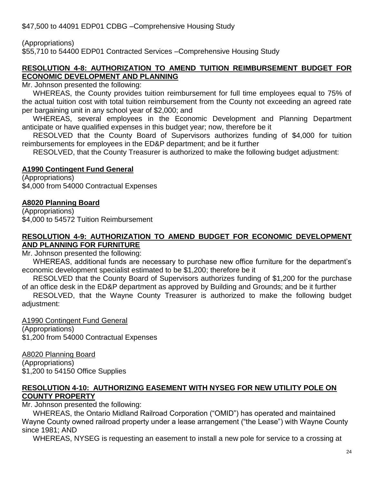\$47,500 to 44091 EDP01 CDBG –Comprehensive Housing Study

(Appropriations)

\$55,710 to 54400 EDP01 Contracted Services –Comprehensive Housing Study

### **RESOLUTION 4-8: AUTHORIZATION TO AMEND TUITION REIMBURSEMENT BUDGET FOR ECONOMIC DEVELOPMENT AND PLANNING**

Mr. Johnson presented the following:

WHEREAS, the County provides tuition reimbursement for full time employees equal to 75% of the actual tuition cost with total tuition reimbursement from the County not exceeding an agreed rate per bargaining unit in any school year of \$2,000; and

WHEREAS, several employees in the Economic Development and Planning Department anticipate or have qualified expenses in this budget year; now, therefore be it

RESOLVED that the County Board of Supervisors authorizes funding of \$4,000 for tuition reimbursements for employees in the ED&P department; and be it further

RESOLVED, that the County Treasurer is authorized to make the following budget adjustment:

# **A1990 Contingent Fund General**

(Appropriations) \$4,000 from 54000 Contractual Expenses

# **A8020 Planning Board**

(Appropriations) \$4,000 to 54572 Tuition Reimbursement

### **RESOLUTION 4-9: AUTHORIZATION TO AMEND BUDGET FOR ECONOMIC DEVELOPMENT AND PLANNING FOR FURNITURE**

Mr. Johnson presented the following:

WHEREAS, additional funds are necessary to purchase new office furniture for the department's economic development specialist estimated to be \$1,200; therefore be it

RESOLVED that the County Board of Supervisors authorizes funding of \$1,200 for the purchase of an office desk in the ED&P department as approved by Building and Grounds; and be it further

RESOLVED, that the Wayne County Treasurer is authorized to make the following budget adjustment:

A1990 Contingent Fund General (Appropriations) \$1,200 from 54000 Contractual Expenses

# A8020 Planning Board

(Appropriations) \$1,200 to 54150 Office Supplies

### **RESOLUTION 4-10: AUTHORIZING EASEMENT WITH NYSEG FOR NEW UTILITY POLE ON COUNTY PROPERTY**

Mr. Johnson presented the following:

WHEREAS, the Ontario Midland Railroad Corporation ("OMID") has operated and maintained Wayne County owned railroad property under a lease arrangement ("the Lease") with Wayne County since 1981; AND

WHEREAS, NYSEG is requesting an easement to install a new pole for service to a crossing at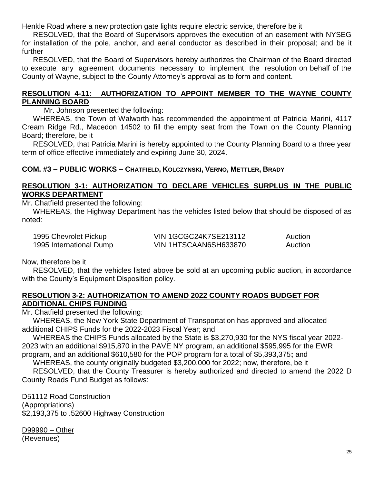Henkle Road where a new protection gate lights require electric service, therefore be it

RESOLVED, that the Board of Supervisors approves the execution of an easement with NYSEG for installation of the pole, anchor, and aerial conductor as described in their proposal; and be it further

RESOLVED, that the Board of Supervisors hereby authorizes the Chairman of the Board directed to execute any agreement documents necessary to implement the resolution on behalf of the County of Wayne, subject to the County Attorney's approval as to form and content.

#### **RESOLUTION 4-11: AUTHORIZATION TO APPOINT MEMBER TO THE WAYNE COUNTY PLANNING BOARD**

Mr. Johnson presented the following:

WHEREAS, the Town of Walworth has recommended the appointment of Patricia Marini, 4117 Cream Ridge Rd., Macedon 14502 to fill the empty seat from the Town on the County Planning Board; therefore, be it

RESOLVED, that Patricia Marini is hereby appointed to the County Planning Board to a three year term of office effective immediately and expiring June 30, 2024.

### **COM. #3 – PUBLIC WORKS – CHATFIELD, KOLCZYNSKI, VERNO, METTLER, BRADY**

### **RESOLUTION 3-1: AUTHORIZATION TO DECLARE VEHICLES SURPLUS IN THE PUBLIC WORKS DEPARTMENT**

Mr. Chatfield presented the following:

WHEREAS, the Highway Department has the vehicles listed below that should be disposed of as noted:

| 1995 Chevrolet Pickup   | <b>VIN 1GCGC24K7SE213112</b> | Auction |
|-------------------------|------------------------------|---------|
| 1995 International Dump | VIN 1HTSCAAN6SH633870        | Auction |

Now, therefore be it

RESOLVED, that the vehicles listed above be sold at an upcoming public auction, in accordance with the County's Equipment Disposition policy.

### **RESOLUTION 3-2: AUTHORIZATION TO AMEND 2022 COUNTY ROADS BUDGET FOR ADDITIONAL CHIPS FUNDING**

Mr. Chatfield presented the following:

WHEREAS, the New York State Department of Transportation has approved and allocated additional CHIPS Funds for the 2022-2023 Fiscal Year; and

WHEREAS the CHIPS Funds allocated by the State is \$3,270,930 for the NYS fiscal year 2022- 2023 with an additional \$915,870 in the PAVE NY program, an additional \$595,995 for the EWR program, and an additional \$610,580 for the POP program for a total of \$5,393,375**;** and

WHEREAS, the county originally budgeted \$3,200,000 for 2022; now, therefore, be it

RESOLVED, that the County Treasurer is hereby authorized and directed to amend the 2022 D County Roads Fund Budget as follows:

D51112 Road Construction

(Appropriations) \$2,193,375 to .52600 Highway Construction

D99990 – Other (Revenues)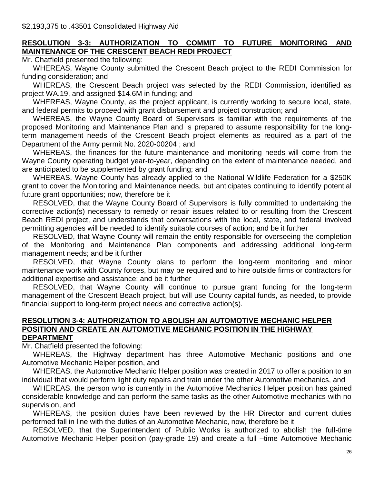### **RESOLUTION 3-3: AUTHORIZATION TO COMMIT TO FUTURE MONITORING AND MAINTENANCE OF THE CRESCENT BEACH REDI PROJECT**

Mr. Chatfield presented the following:

WHEREAS, Wayne County submitted the Crescent Beach project to the REDI Commission for funding consideration; and

WHEREAS, the Crescent Beach project was selected by the REDI Commission, identified as project WA.19, and assigned \$14.6M in funding; and

WHEREAS, Wayne County, as the project applicant, is currently working to secure local, state, and federal permits to proceed with grant disbursement and project construction; and

WHEREAS, the Wayne County Board of Supervisors is familiar with the requirements of the proposed Monitoring and Maintenance Plan and is prepared to assume responsibility for the longterm management needs of the Crescent Beach project elements as required as a part of the Department of the Army permit No. 2020-00204 ; and

WHEREAS, the finances for the future maintenance and monitoring needs will come from the Wayne County operating budget year-to-year, depending on the extent of maintenance needed, and are anticipated to be supplemented by grant funding; and

WHEREAS, Wayne County has already applied to the National Wildlife Federation for a \$250K grant to cover the Monitoring and Maintenance needs, but anticipates continuing to identify potential future grant opportunities; now, therefore be it

RESOLVED, that the Wayne County Board of Supervisors is fully committed to undertaking the corrective action(s) necessary to remedy or repair issues related to or resulting from the Crescent Beach REDI project, and understands that conversations with the local, state, and federal involved permitting agencies will be needed to identify suitable courses of action; and be it further

RESOLVED, that Wayne County will remain the entity responsible for overseeing the completion of the Monitoring and Maintenance Plan components and addressing additional long-term management needs; and be it further

RESOLVED, that Wayne County plans to perform the long-term monitoring and minor maintenance work with County forces, but may be required and to hire outside firms or contractors for additional expertise and assistance; and be it further

RESOLVED, that Wayne County will continue to pursue grant funding for the long-term management of the Crescent Beach project, but will use County capital funds, as needed, to provide financial support to long-term project needs and corrective action(s).

#### **RESOLUTION 3-4: AUTHORIZATION TO ABOLISH AN AUTOMOTIVE MECHANIC HELPER POSITION AND CREATE AN AUTOMOTIVE MECHANIC POSITION IN THE HIGHWAY DEPARTMENT**

Mr. Chatfield presented the following:

WHEREAS, the Highway department has three Automotive Mechanic positions and one Automotive Mechanic Helper position, and

WHEREAS, the Automotive Mechanic Helper position was created in 2017 to offer a position to an individual that would perform light duty repairs and train under the other Automotive mechanics, and

WHEREAS, the person who is currently in the Automotive Mechanics Helper position has gained considerable knowledge and can perform the same tasks as the other Automotive mechanics with no supervision, and

WHEREAS, the position duties have been reviewed by the HR Director and current duties performed fall in line with the duties of an Automotive Mechanic, now, therefore be it

RESOLVED, that the Superintendent of Public Works is authorized to abolish the full-time Automotive Mechanic Helper position (pay-grade 19) and create a full –time Automotive Mechanic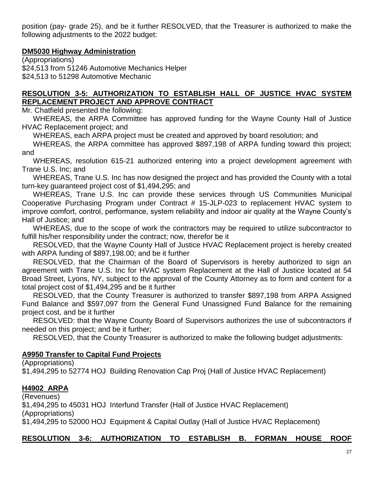position (pay- grade 25), and be it further RESOLVED, that the Treasurer is authorized to make the following adjustments to the 2022 budget:

### **DM5030 Highway Administration**

(Appropriations) \$24,513 from 51246 Automotive Mechanics Helper \$24,513 to 51298 Automotive Mechanic

### **RESOLUTION 3-5: AUTHORIZATION TO ESTABLISH HALL OF JUSTICE HVAC SYSTEM REPLACEMENT PROJECT AND APPROVE CONTRACT**

Mr. Chatfield presented the following:

WHEREAS, the ARPA Committee has approved funding for the Wayne County Hall of Justice HVAC Replacement project; and

WHEREAS, each ARPA project must be created and approved by board resolution; and

WHEREAS, the ARPA committee has approved \$897,198 of ARPA funding toward this project; and

WHEREAS, resolution 615-21 authorized entering into a project development agreement with Trane U.S. Inc; and

WHEREAS, Trane U.S. Inc has now designed the project and has provided the County with a total turn-key guaranteed project cost of \$1,494,295; and

WHEREAS, Trane U.S. Inc can provide these services through US Communities Municipal Cooperative Purchasing Program under Contract # 15-JLP-023 to replacement HVAC system to improve comfort, control, performance, system reliability and indoor air quality at the Wayne County's Hall of Justice; and

WHEREAS, due to the scope of work the contractors may be required to utilize subcontractor to fulfill his/her responsibility under the contract; now, therefor be it

RESOLVED, that the Wayne County Hall of Justice HVAC Replacement project is hereby created with ARPA funding of \$897,198.00; and be it further

RESOLVED, that the Chairman of the Board of Supervisors is hereby authorized to sign an agreement with Trane U.S. Inc for HVAC system Replacement at the Hall of Justice located at 54 Broad Street, Lyons, NY, subject to the approval of the County Attorney as to form and content for a total project cost of \$1,494,295 and be it further

RESOLVED, that the County Treasurer is authorized to transfer \$897,198 from ARPA Assigned Fund Balance and \$597,097 from the General Fund Unassigned Fund Balance for the remaining project cost, and be it further

RESOLVED: that the Wayne County Board of Supervisors authorizes the use of subcontractors if needed on this project; and be it further;

RESOLVED, that the County Treasurer is authorized to make the following budget adjustments:

### **A9950 Transfer to Capital Fund Projects**

(Appropriations)

\$1,494,295 to 52774 HOJ Building Renovation Cap Proj (Hall of Justice HVAC Replacement)

# **H4902 ARPA**

(Revenues) \$1,494,295 to 45031 HOJ Interfund Transfer (Hall of Justice HVAC Replacement) (Appropriations) \$1,494,295 to 52000 HOJ Equipment & Capital Outlay (Hall of Justice HVAC Replacement)

### **RESOLUTION 3-6: AUTHORIZATION TO ESTABLISH B. FORMAN HOUSE ROOF**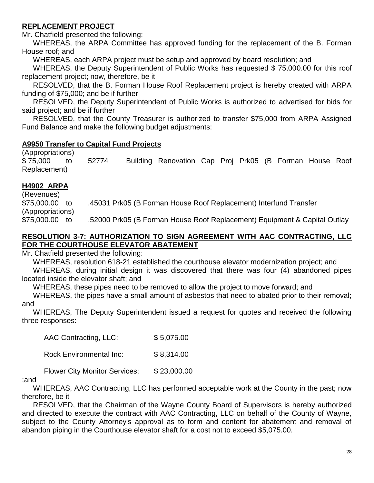# **REPLACEMENT PROJECT**

Mr. Chatfield presented the following:

WHEREAS, the ARPA Committee has approved funding for the replacement of the B. Forman House roof; and

WHEREAS, each ARPA project must be setup and approved by board resolution; and

WHEREAS, the Deputy Superintendent of Public Works has requested \$75,000.00 for this roof replacement project; now, therefore, be it

RESOLVED, that the B. Forman House Roof Replacement project is hereby created with ARPA funding of \$75,000; and be if further

RESOLVED, the Deputy Superintendent of Public Works is authorized to advertised for bids for said project; and be if further

RESOLVED, that the County Treasurer is authorized to transfer \$75,000 from ARPA Assigned Fund Balance and make the following budget adjustments:

### **A9950 Transfer to Capital Fund Projects**

(Appropriations) \$ 75,000 to 52774 Building Renovation Cap Proj Prk05 (B Forman House Roof Replacement)

# **H4902 ARPA**

(Revenues) \$75,000.00 to .45031 Prk05 (B Forman House Roof Replacement) Interfund Transfer (Appropriations) \$75,000.00 to .52000 Prk05 (B Forman House Roof Replacement) Equipment & Capital Outlay

### **RESOLUTION 3-7: AUTHORIZATION TO SIGN AGREEMENT WITH AAC CONTRACTING, LLC FOR THE COURTHOUSE ELEVATOR ABATEMENT**

Mr. Chatfield presented the following:

WHEREAS, resolution 618-21 established the courthouse elevator modernization project; and WHEREAS, during initial design it was discovered that there was four (4) abandoned pipes located inside the elevator shaft; and

WHEREAS, these pipes need to be removed to allow the project to move forward; and

WHEREAS, the pipes have a small amount of asbestos that need to abated prior to their removal; and

WHEREAS, The Deputy Superintendent issued a request for quotes and received the following three responses:

AAC Contracting, LLC: \$ 5,075.00

Rock Environmental Inc: \$8,314.00

Flower City Monitor Services: \$23,000.00

#### ;and

WHEREAS, AAC Contracting, LLC has performed acceptable work at the County in the past; now therefore, be it

RESOLVED, that the Chairman of the Wayne County Board of Supervisors is hereby authorized and directed to execute the contract with AAC Contracting, LLC on behalf of the County of Wayne, subject to the County Attorney's approval as to form and content for abatement and removal of abandon piping in the Courthouse elevator shaft for a cost not to exceed \$5,075.00.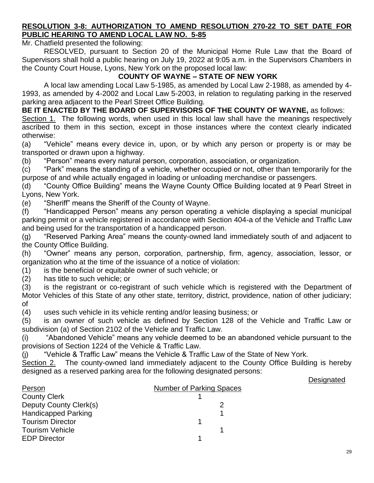### **RESOLUTION 3-8: AUTHORIZATION TO AMEND RESOLUTION 270-22 TO SET DATE FOR PUBLIC HEARING TO AMEND LOCAL LAW NO. 5-85**

Mr. Chatfield presented the following:

RESOLVED, pursuant to Section 20 of the Municipal Home Rule Law that the Board of Supervisors shall hold a public hearing on July 19, 2022 at 9:05 a.m. in the Supervisors Chambers in the County Court House, Lyons, New York on the proposed local law:

## **COUNTY OF WAYNE – STATE OF NEW YORK**

A local law amending Local Law 5-1985, as amended by Local Law 2-1988, as amended by 4- 1993, as amended by 4-2002 and Local Law 5-2003, in relation to regulating parking in the reserved parking area adjacent to the Pearl Street Office Building.

**BE IT ENACTED BY THE BOARD OF SUPERVISORS OF THE COUNTY OF WAYNE,** as follows:

Section 1. The following words, when used in this local law shall have the meanings respectively ascribed to them in this section, except in those instances where the context clearly indicated otherwise:

(a) "Vehicle" means every device in, upon, or by which any person or property is or may be transported or drawn upon a highway.

(b) "Person" means every natural person, corporation, association, or organization.

(c) "Park" means the standing of a vehicle, whether occupied or not, other than temporarily for the purpose of and while actually engaged in loading or unloading merchandise or passengers.

(d) "County Office Building" means the Wayne County Office Building located at 9 Pearl Street in Lyons, New York.

(e) "Sheriff" means the Sheriff of the County of Wayne.

(f) "Handicapped Person" means any person operating a vehicle displaying a special municipal parking permit or a vehicle registered in accordance with Section 404-a of the Vehicle and Traffic Law and being used for the transportation of a handicapped person.

(g) "Reserved Parking Area" means the county-owned land immediately south of and adjacent to the County Office Building.

(h) "Owner" means any person, corporation, partnership, firm, agency, association, lessor, or organization who at the time of the issuance of a notice of violation:

(1) is the beneficial or equitable owner of such vehicle; or

(2) has title to such vehicle; or

(3) is the registrant or co-registrant of such vehicle which is registered with the Department of Motor Vehicles of this State of any other state, territory, district, providence, nation of other judiciary; of

(4) uses such vehicle in its vehicle renting and/or leasing business; or

(5) is an owner of such vehicle as defined by Section 128 of the Vehicle and Traffic Law or subdivision (a) of Section 2102 of the Vehicle and Traffic Law.

(i) "Abandoned Vehicle" means any vehicle deemed to be an abandoned vehicle pursuant to the provisions of Section 1224 of the Vehicle & Traffic Law.

(j) "Vehicle & Traffic Law" means the Vehicle & Traffic Law of the State of New York.

Section 2. The county-owned land immediately adjacent to the County Office Building is hereby designed as a reserved parking area for the following designated persons:

#### **Designated**

| <b>Number of Parking Spaces</b> |
|---------------------------------|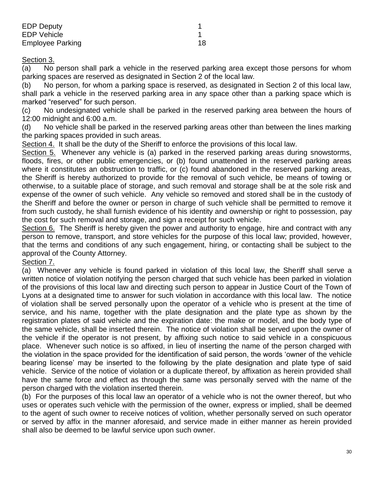| <b>EDP Deputy</b>  |    |
|--------------------|----|
| <b>EDP Vehicle</b> |    |
| Employee Parking   | 18 |

#### Section 3.

(a) No person shall park a vehicle in the reserved parking area except those persons for whom parking spaces are reserved as designated in Section 2 of the local law.

(b) No person, for whom a parking space is reserved, as designated in Section 2 of this local law, shall park a vehicle in the reserved parking area in any space other than a parking space which is marked "reserved" for such person.

(c) No undesignated vehicle shall be parked in the reserved parking area between the hours of 12:00 midnight and 6:00 a.m.

(d) No vehicle shall be parked in the reserved parking areas other than between the lines marking the parking spaces provided in such areas.

Section 4. It shall be the duty of the Sheriff to enforce the provisions of this local law.

Section 5. Whenever any vehicle is (a) parked in the reserved parking areas during snowstorms, floods, fires, or other public emergencies, or (b) found unattended in the reserved parking areas where it constitutes an obstruction to traffic, or (c) found abandoned in the reserved parking areas, the Sheriff is hereby authorized to provide for the removal of such vehicle, be means of towing or otherwise, to a suitable place of storage, and such removal and storage shall be at the sole risk and expense of the owner of such vehicle. Any vehicle so removed and stored shall be in the custody of the Sheriff and before the owner or person in charge of such vehicle shall be permitted to remove it from such custody, he shall furnish evidence of his identity and ownership or right to possession, pay the cost for such removal and storage, and sign a receipt for such vehicle.

Section 6. The Sheriff is hereby given the power and authority to engage, hire and contract with any person to remove, transport, and store vehicles for the purpose of this local law; provided, however, that the terms and conditions of any such engagement, hiring, or contacting shall be subject to the approval of the County Attorney.

#### Section 7.

(a) Whenever any vehicle is found parked in violation of this local law, the Sheriff shall serve a written notice of violation notifying the person charged that such vehicle has been parked in violation of the provisions of this local law and directing such person to appear in Justice Court of the Town of Lyons at a designated time to answer for such violation in accordance with this local law. The notice of violation shall be served personally upon the operator of a vehicle who is present at the time of service, and his name, together with the plate designation and the plate type as shown by the registration plates of said vehicle and the expiration date: the make or model, and the body type of the same vehicle, shall be inserted therein. The notice of violation shall be served upon the owner of the vehicle if the operator is not present, by affixing such notice to said vehicle in a conspicuous place. Whenever such notice is so affixed, in lieu of inserting the name of the person charged with the violation in the space provided for the identification of said person, the words 'owner of the vehicle bearing license' may be inserted to the following by the plate designation and plate type of said vehicle. Service of the notice of violation or a duplicate thereof, by affixation as herein provided shall have the same force and effect as through the same was personally served with the name of the person charged with the violation inserted therein.

(b) For the purposes of this local law an operator of a vehicle who is not the owner thereof, but who uses or operates such vehicle with the permission of the owner, express or implied, shall be deemed to the agent of such owner to receive notices of volition, whether personally served on such operator or served by affix in the manner aforesaid, and service made in either manner as herein provided shall also be deemed to be lawful service upon such owner.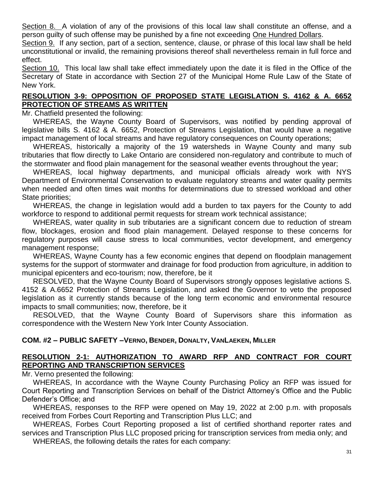Section 8. A violation of any of the provisions of this local law shall constitute an offense, and a person guilty of such offense may be punished by a fine not exceeding One Hundred Dollars.

Section 9. If any section, part of a section, sentence, clause, or phrase of this local law shall be held unconstitutional or invalid, the remaining provisions thereof shall nevertheless remain in full force and effect.

Section 10. This local law shall take effect immediately upon the date it is filed in the Office of the Secretary of State in accordance with Section 27 of the Municipal Home Rule Law of the State of New York.

### **RESOLUTION 3-9: OPPOSITION OF PROPOSED STATE LEGISLATION S. 4162 & A. 6652 PROTECTION OF STREAMS AS WRITTEN**

Mr. Chatfield presented the following:

WHEREAS, the Wayne County Board of Supervisors, was notified by pending approval of legislative bills S. 4162 & A. 6652, Protection of Streams Legislation, that would have a negative impact management of local streams and have regulatory consequences on County operations;

WHEREAS, historically a majority of the 19 watersheds in Wayne County and many sub tributaries that flow directly to Lake Ontario are considered non-regulatory and contribute to much of the stormwater and flood plain management for the seasonal weather events throughout the year;

WHEREAS, local highway departments, and municipal officials already work with NYS Department of Environmental Conservation to evaluate regulatory streams and water quality permits when needed and often times wait months for determinations due to stressed workload and other State priorities;

WHEREAS, the change in legislation would add a burden to tax payers for the County to add workforce to respond to additional permit requests for stream work technical assistance;

WHEREAS, water quality in sub tributaries are a significant concern due to reduction of stream flow, blockages, erosion and flood plain management. Delayed response to these concerns for regulatory purposes will cause stress to local communities, vector development, and emergency management response;

WHEREAS, Wayne County has a few economic engines that depend on floodplain management systems for the support of stormwater and drainage for food production from agriculture, in addition to municipal epicenters and eco-tourism; now, therefore, be it

RESOLVED, that the Wayne County Board of Supervisors strongly opposes legislative actions S. 4152 & A.6652 Protection of Streams Legislation, and asked the Governor to veto the proposed legislation as it currently stands because of the long term economic and environmental resource impacts to small communities; now, therefore, be it

RESOLVED, that the Wayne County Board of Supervisors share this information as correspondence with the Western New York Inter County Association.

### **COM. #2 – PUBLIC SAFETY –VERNO, BENDER, DONALTY, VANLAEKEN, MILLER**

# **RESOLUTION 2-1: AUTHORIZATION TO AWARD RFP AND CONTRACT FOR COURT REPORTING AND TRANSCRIPTION SERVICES**

Mr. Verno presented the following:

WHEREAS, In accordance with the Wayne County Purchasing Policy an RFP was issued for Court Reporting and Transcription Services on behalf of the District Attorney's Office and the Public Defender's Office; and

WHEREAS, responses to the RFP were opened on May 19, 2022 at 2:00 p.m. with proposals received from Forbes Court Reporting and Transcription Plus LLC; and

WHEREAS, Forbes Court Reporting proposed a list of certified shorthand reporter rates and services and Transcription Plus LLC proposed pricing for transcription services from media only; and WHEREAS, the following details the rates for each company: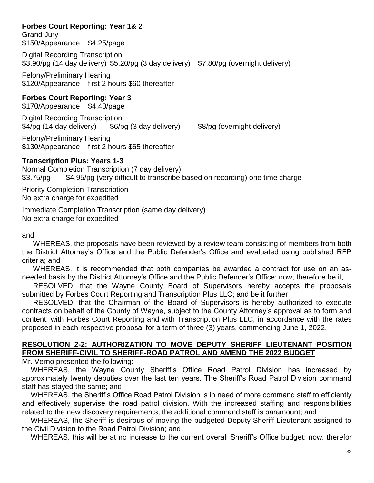# **Forbes Court Reporting: Year 1& 2**

Grand Jury \$150/Appearance \$4.25/page

Digital Recording Transcription \$3.90/pg (14 day delivery) \$5.20/pg (3 day delivery) \$7.80/pg (overnight delivery)

Felony/Preliminary Hearing \$120/Appearance – first 2 hours \$60 thereafter

# **Forbes Court Reporting: Year 3**

\$170/Appearance \$4.40/page

Digital Recording Transcription \$4/pg (14 day delivery) \$6/pg (3 day delivery) \$8/pg (overnight delivery)

Felony/Preliminary Hearing \$130/Appearance – first 2 hours \$65 thereafter

# **Transcription Plus: Years 1-3**

Normal Completion Transcription (7 day delivery) \$3.75/pg \$4.95/pg (very difficult to transcribe based on recording) one time charge

Priority Completion Transcription No extra charge for expedited

Immediate Completion Transcription (same day delivery) No extra charge for expedited

#### and

WHEREAS, the proposals have been reviewed by a review team consisting of members from both the District Attorney's Office and the Public Defender's Office and evaluated using published RFP criteria; and

WHEREAS, it is recommended that both companies be awarded a contract for use on an asneeded basis by the District Attorney's Office and the Public Defender's Office; now, therefore be it,

RESOLVED, that the Wayne County Board of Supervisors hereby accepts the proposals submitted by Forbes Court Reporting and Transcription Plus LLC; and be it further

RESOLVED, that the Chairman of the Board of Supervisors is hereby authorized to execute contracts on behalf of the County of Wayne, subject to the County Attorney's approval as to form and content, with Forbes Court Reporting and with Transcription Plus LLC, in accordance with the rates proposed in each respective proposal for a term of three (3) years, commencing June 1, 2022.

### **RESOLUTION 2-2: AUTHORIZATION TO MOVE DEPUTY SHERIFF LIEUTENANT POSITION FROM SHERIFF-CIVIL TO SHERIFF-ROAD PATROL AND AMEND THE 2022 BUDGET**

Mr. Verno presented the following:

WHEREAS, the Wayne County Sheriff's Office Road Patrol Division has increased by approximately twenty deputies over the last ten years. The Sheriff's Road Patrol Division command staff has stayed the same; and

WHEREAS, the Sheriff's Office Road Patrol Division is in need of more command staff to efficiently and effectively supervise the road patrol division. With the increased staffing and responsibilities related to the new discovery requirements, the additional command staff is paramount; and

WHEREAS, the Sheriff is desirous of moving the budgeted Deputy Sheriff Lieutenant assigned to the Civil Division to the Road Patrol Division; and

WHEREAS, this will be at no increase to the current overall Sheriff's Office budget; now, therefor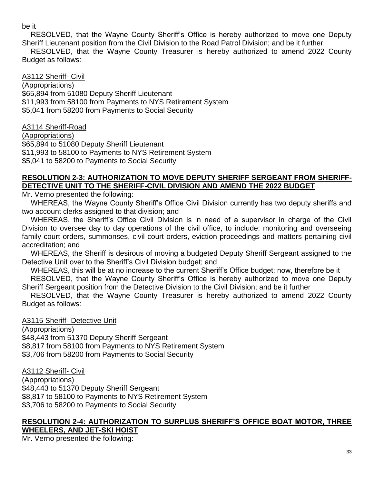### be it

RESOLVED, that the Wayne County Sheriff's Office is hereby authorized to move one Deputy Sheriff Lieutenant position from the Civil Division to the Road Patrol Division; and be it further

RESOLVED, that the Wayne County Treasurer is hereby authorized to amend 2022 County Budget as follows:

### A3112 Sheriff- Civil

(Appropriations) \$65,894 from 51080 Deputy Sheriff Lieutenant \$11,993 from 58100 from Payments to NYS Retirement System \$5,041 from 58200 from Payments to Social Security

### A3114 Sheriff-Road

(Appropriations) \$65,894 to 51080 Deputy Sheriff Lieutenant \$11,993 to 58100 to Payments to NYS Retirement System \$5,041 to 58200 to Payments to Social Security

### **RESOLUTION 2-3: AUTHORIZATION TO MOVE DEPUTY SHERIFF SERGEANT FROM SHERIFF-DETECTIVE UNIT TO THE SHERIFF-CIVIL DIVISION AND AMEND THE 2022 BUDGET**

Mr. Verno presented the following:

WHEREAS, the Wayne County Sheriff's Office Civil Division currently has two deputy sheriffs and two account clerks assigned to that division; and

WHEREAS, the Sheriff's Office Civil Division is in need of a supervisor in charge of the Civil Division to oversee day to day operations of the civil office, to include: monitoring and overseeing family court orders, summonses, civil court orders, eviction proceedings and matters pertaining civil accreditation; and

WHEREAS, the Sheriff is desirous of moving a budgeted Deputy Sheriff Sergeant assigned to the Detective Unit over to the Sheriff's Civil Division budget; and

WHEREAS, this will be at no increase to the current Sheriff's Office budget; now, therefore be it

RESOLVED, that the Wayne County Sheriff's Office is hereby authorized to move one Deputy Sheriff Sergeant position from the Detective Division to the Civil Division; and be it further

RESOLVED, that the Wayne County Treasurer is hereby authorized to amend 2022 County Budget as follows:

A3115 Sheriff- Detective Unit

(Appropriations)

\$48,443 from 51370 Deputy Sheriff Sergeant \$8,817 from 58100 from Payments to NYS Retirement System \$3,706 from 58200 from Payments to Social Security

A3112 Sheriff- Civil

(Appropriations) \$48,443 to 51370 Deputy Sheriff Sergeant \$8,817 to 58100 to Payments to NYS Retirement System \$3,706 to 58200 to Payments to Social Security

#### **RESOLUTION 2-4: AUTHORIZATION TO SURPLUS SHERIFF'S OFFICE BOAT MOTOR, THREE WHEELERS, AND JET-SKI HOIST**

Mr. Verno presented the following: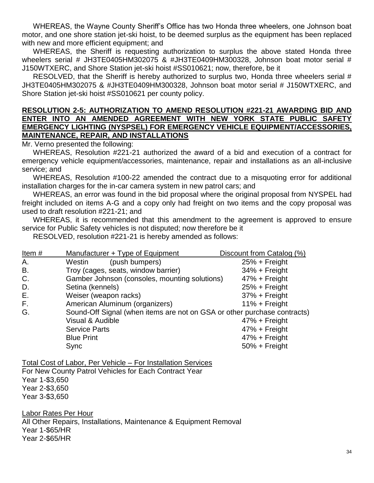WHEREAS, the Wayne County Sheriff's Office has two Honda three wheelers, one Johnson boat motor, and one shore station jet-ski hoist, to be deemed surplus as the equipment has been replaced with new and more efficient equipment; and

WHEREAS, the Sheriff is requesting authorization to surplus the above stated Honda three wheelers serial # JH3TE0405HM302075 & #JH3TE0409HM300328, Johnson boat motor serial # J150WTXERC, and Shore Station jet-ski hoist #SS010621; now, therefore, be it

RESOLVED, that the Sheriff is hereby authorized to surplus two, Honda three wheelers serial # JH3TE0405HM302075 & #JH3TE0409HM300328, Johnson boat motor serial # J150WTXERC, and Shore Station jet-ski hoist #SS010621 per county policy.

#### **RESOLUTION 2-5: AUTHORIZATION TO AMEND RESOLUTION #221-21 AWARDING BID AND ENTER INTO AN AMENDED AGREEMENT WITH NEW YORK STATE PUBLIC SAFETY EMERGENCY LIGHTING (NYSPSEL) FOR EMERGENCY VEHICLE EQUIPMENT/ACCESSORIES, MAINTENANCE, REPAIR, AND INSTALLATIONS**

Mr. Verno presented the following:

WHEREAS, Resolution #221-21 authorized the award of a bid and execution of a contract for emergency vehicle equipment/accessories, maintenance, repair and installations as an all-inclusive service; and

WHEREAS, Resolution #100-22 amended the contract due to a misquoting error for additional installation charges for the in-car camera system in new patrol cars; and

WHEREAS, an error was found in the bid proposal where the original proposal from NYSPEL had freight included on items A-G and a copy only had freight on two items and the copy proposal was used to draft resolution #221-21; and

WHEREAS, it is recommended that this amendment to the agreement is approved to ensure service for Public Safety vehicles is not disputed; now therefore be it

RESOLVED, resolution #221-21 is hereby amended as follows:

| Item#     | Manufacturer + Type of Equipment                                         | Discount from Catalog (%) |  |  |  |
|-----------|--------------------------------------------------------------------------|---------------------------|--|--|--|
| Α.        | (push bumpers)<br>Westin                                                 | $25% + Freight$           |  |  |  |
| <b>B.</b> | Troy (cages, seats, window barrier)                                      | $34% + Freight$           |  |  |  |
| C.        | Gamber Johnson (consoles, mounting solutions)                            | 47% + Freight             |  |  |  |
| D.        | Setina (kennels)                                                         | $25% + Freight$           |  |  |  |
| Ε.        | Weiser (weapon racks)                                                    | $37% + Freight$           |  |  |  |
| F.        | American Aluminum (organizers)                                           | $11\% + Freight$          |  |  |  |
| G.        | Sound-Off Signal (when items are not on GSA or other purchase contracts) |                           |  |  |  |
|           | Visual & Audible                                                         | $47% + Freight$           |  |  |  |
|           | <b>Service Parts</b>                                                     | $47% + Freight$           |  |  |  |
|           | <b>Blue Print</b>                                                        | $47% + Freight$           |  |  |  |
|           | Sync                                                                     | $50% + Freight$           |  |  |  |

Total Cost of Labor, Per Vehicle – For Installation Services For New County Patrol Vehicles for Each Contract Year Year 1-\$3,650 Year 2-\$3,650 Year 3-\$3,650

Labor Rates Per Hour

All Other Repairs, Installations, Maintenance & Equipment Removal Year 1-\$65/HR Year 2-\$65/HR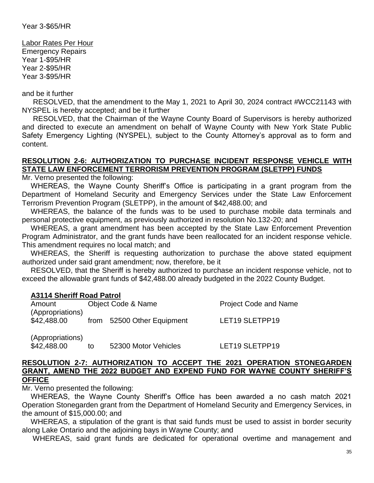Labor Rates Per Hour Emergency Repairs Year 1-\$95/HR Year 2-\$95/HR Year 3-\$95/HR

and be it further

RESOLVED, that the amendment to the May 1, 2021 to April 30, 2024 contract #WCC21143 with NYSPEL is hereby accepted; and be it further

RESOLVED, that the Chairman of the Wayne County Board of Supervisors is hereby authorized and directed to execute an amendment on behalf of Wayne County with New York State Public Safety Emergency Lighting (NYSPEL), subject to the County Attorney's approval as to form and content.

# **RESOLUTION 2-6: AUTHORIZATION TO PURCHASE INCIDENT RESPONSE VEHICLE WITH STATE LAW ENFORCEMENT TERRORISM PREVENTION PROGRAM (SLETPP) FUNDS**

Mr. Verno presented the following:

WHEREAS, the Wayne County Sheriff's Office is participating in a grant program from the Department of Homeland Security and Emergency Services under the State Law Enforcement Terrorism Prevention Program (SLETPP), in the amount of \$42,488.00; and

WHEREAS, the balance of the funds was to be used to purchase mobile data terminals and personal protective equipment, as previously authorized in resolution No.132-20; and

WHEREAS, a grant amendment has been accepted by the State Law Enforcement Prevention Program Administrator, and the grant funds have been reallocated for an incident response vehicle. This amendment requires no local match; and

WHEREAS, the Sheriff is requesting authorization to purchase the above stated equipment authorized under said grant amendment; now, therefore, be it

RESOLVED, that the Sheriff is hereby authorized to purchase an incident response vehicle, not to exceed the allowable grant funds of \$42,488.00 already budgeted in the 2022 County Budget.

#### **A3114 Sheriff Road Patrol**

| Amount                          | Object Code & Name         | <b>Project Code and Name</b> |  |  |
|---------------------------------|----------------------------|------------------------------|--|--|
| (Appropriations)<br>\$42,488.00 | from 52500 Other Equipment | LET19 SLETPP19               |  |  |
| (Appropriations)                |                            |                              |  |  |

\$42,488.00 to 52300 Motor Vehicles LET19 SLETPP19

#### **RESOLUTION 2-7: AUTHORIZATION TO ACCEPT THE 2021 OPERATION STONEGARDEN GRANT, AMEND THE 2022 BUDGET AND EXPEND FUND FOR WAYNE COUNTY SHERIFF'S OFFICE**

Mr. Verno presented the following:

WHEREAS, the Wayne County Sheriff's Office has been awarded a no cash match 2021 Operation Stonegarden grant from the Department of Homeland Security and Emergency Services, in the amount of \$15,000.00; and

WHEREAS, a stipulation of the grant is that said funds must be used to assist in border security along Lake Ontario and the adjoining bays in Wayne County; and

WHEREAS, said grant funds are dedicated for operational overtime and management and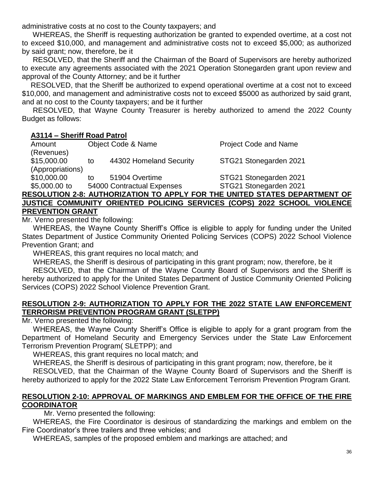administrative costs at no cost to the County taxpayers; and

WHEREAS, the Sheriff is requesting authorization be granted to expended overtime, at a cost not to exceed \$10,000, and management and administrative costs not to exceed \$5,000; as authorized by said grant; now, therefore, be it

RESOLVED, that the Sheriff and the Chairman of the Board of Supervisors are hereby authorized to execute any agreements associated with the 2021 Operation Stonegarden grant upon review and approval of the County Attorney; and be it further

RESOLVED, that the Sheriff be authorized to expend operational overtime at a cost not to exceed \$10,000, and management and administrative costs not to exceed \$5000 as authorized by said grant, and at no cost to the County taxpayers; and be it further

RESOLVED, that Wayne County Treasurer is hereby authorized to amend the 2022 County Budget as follows:

### **A3114 – Sheriff Road Patrol**

Amount Chiect Code & Name **Project Code and Name** (Revenues) \$15,000.00 to 44302 Homeland Security STG21 Stonegarden 2021 (Appropriations) \$10,000.00 to 51904 Overtime STG21 Stonegarden 2021 \$5,000.00 to 54000 Contractual Expenses STG21 Stonegarden 2021

#### **RESOLUTION 2-8: AUTHORIZATION TO APPLY FOR THE UNITED STATES DEPARTMENT OF JUSTICE COMMUNITY ORIENTED POLICING SERVICES (COPS) 2022 SCHOOL VIOLENCE PREVENTION GRANT**

Mr. Verno presented the following:

WHEREAS, the Wayne County Sheriff's Office is eligible to apply for funding under the United States Department of Justice Community Oriented Policing Services (COPS) 2022 School Violence Prevention Grant; and

WHEREAS, this grant requires no local match; and

WHEREAS, the Sheriff is desirous of participating in this grant program; now, therefore, be it RESOLVED, that the Chairman of the Wayne County Board of Supervisors and the Sheriff is hereby authorized to apply for the United States Department of Justice Community Oriented Policing Services (COPS) 2022 School Violence Prevention Grant.

### **RESOLUTION 2-9: AUTHORIZATION TO APPLY FOR THE 2022 STATE LAW ENFORCEMENT TERRORISM PREVENTION PROGRAM GRANT (SLETPP)**

Mr. Verno presented the following:

WHEREAS, the Wayne County Sheriff's Office is eligible to apply for a grant program from the Department of Homeland Security and Emergency Services under the State Law Enforcement Terrorism Prevention Program( SLETPP); and

WHEREAS, this grant requires no local match; and

WHEREAS, the Sheriff is desirous of participating in this grant program; now, therefore, be it

RESOLVED, that the Chairman of the Wayne County Board of Supervisors and the Sheriff is hereby authorized to apply for the 2022 State Law Enforcement Terrorism Prevention Program Grant.

### **RESOLUTION 2-10: APPROVAL OF MARKINGS AND EMBLEM FOR THE OFFICE OF THE FIRE COORDINATOR**

Mr. Verno presented the following:

WHEREAS, the Fire Coordinator is desirous of standardizing the markings and emblem on the Fire Coordinator's three trailers and three vehicles; and

WHEREAS, samples of the proposed emblem and markings are attached; and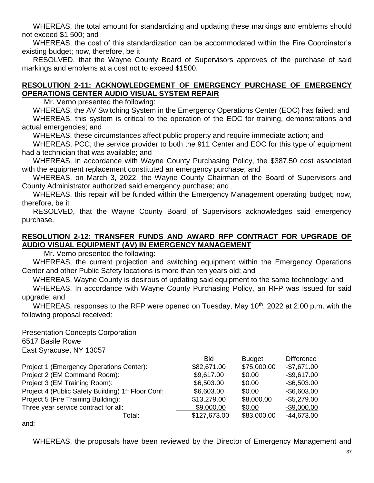WHEREAS, the total amount for standardizing and updating these markings and emblems should not exceed \$1,500; and

WHEREAS, the cost of this standardization can be accommodated within the Fire Coordinator's existing budget; now, therefore, be it

RESOLVED, that the Wayne County Board of Supervisors approves of the purchase of said markings and emblems at a cost not to exceed \$1500.

### **RESOLUTION 2-11: ACKNOWLEDGEMENT OF EMERGENCY PURCHASE OF EMERGENCY OPERATIONS CENTER AUDIO VISUAL SYSTEM REPAIR**

Mr. Verno presented the following:

WHEREAS, the AV Switching System in the Emergency Operations Center (EOC) has failed; and WHEREAS, this system is critical to the operation of the EOC for training, demonstrations and actual emergencies; and

WHEREAS, these circumstances affect public property and require immediate action; and

WHEREAS, PCC, the service provider to both the 911 Center and EOC for this type of equipment had a technician that was available; and

WHEREAS, in accordance with Wayne County Purchasing Policy, the \$387.50 cost associated with the equipment replacement constituted an emergency purchase; and

WHEREAS, on March 3, 2022, the Wayne County Chairman of the Board of Supervisors and County Administrator authorized said emergency purchase; and

WHEREAS, this repair will be funded within the Emergency Management operating budget; now, therefore, be it

RESOLVED, that the Wayne County Board of Supervisors acknowledges said emergency purchase.

### **RESOLUTION 2-12: TRANSFER FUNDS AND AWARD RFP CONTRACT FOR UPGRADE OF AUDIO VISUAL EQUIPMENT (AV) IN EMERGENCY MANAGEMENT**

Mr. Verno presented the following:

WHEREAS, the current projection and switching equipment within the Emergency Operations Center and other Public Safety locations is more than ten years old; and

WHEREAS, Wayne County is desirous of updating said equipment to the same technology; and

WHEREAS, In accordance with Wayne County Purchasing Policy, an RFP was issued for said upgrade; and

WHEREAS, responses to the RFP were opened on Tuesday, May 10<sup>th</sup>, 2022 at 2:00 p.m. with the following proposal received:

Presentation Concepts Corporation 6517 Basile Rowe East Syracuse, NY 13057

|                                                                | <b>Bid</b>   | <b>Budget</b> | <b>Difference</b> |
|----------------------------------------------------------------|--------------|---------------|-------------------|
| Project 1 (Emergency Operations Center):                       | \$82,671.00  | \$75,000.00   | $-$7,671.00$      |
| Project 2 (EM Command Room):                                   | \$9,617.00   | \$0.00        | $-$9,617.00$      |
| Project 3 (EM Training Room):                                  | \$6,503.00   | \$0.00        | $-$ \$6,503.00    |
| Project 4 (Public Safety Building) 1 <sup>st</sup> Floor Conf: | \$6,603.00   | \$0.00        | $-$6,603.00$      |
| Project 5 (Fire Training Building):                            | \$13,279.00  | \$8,000.00    | $-$5,279.00$      |
| Three year service contract for all:                           | \$9.000.00   | \$0.00        | $-$9,000.00$      |
| Total:                                                         | \$127,673.00 | \$83,000.00   | $-44,673.00$      |
|                                                                |              |               |                   |

and;

WHEREAS, the proposals have been reviewed by the Director of Emergency Management and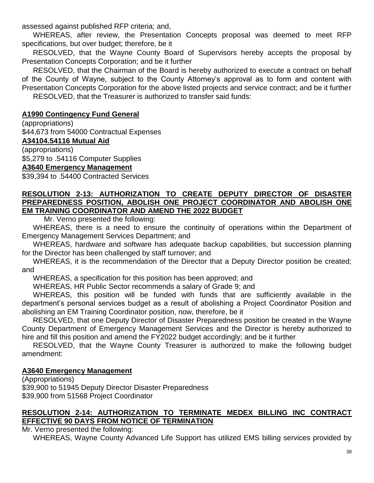assessed against published RFP criteria; and,

WHEREAS, after review, the Presentation Concepts proposal was deemed to meet RFP specifications, but over budget; therefore, be it

RESOLVED, that the Wayne County Board of Supervisors hereby accepts the proposal by Presentation Concepts Corporation; and be it further

RESOLVED, that the Chairman of the Board is hereby authorized to execute a contract on behalf of the County of Wayne, subject to the County Attorney's approval as to form and content with Presentation Concepts Corporation for the above listed projects and service contract; and be it further RESOLVED, that the Treasurer is authorized to transfer said funds:

## **A1990 Contingency Fund General**

(appropriations)

\$44,673 from 54000 Contractual Expenses

### **A34104.54116 Mutual Aid**

(appropriations) \$5,279 to .54116 Computer Supplies

### **A3640 Emergency Management**

\$39,394 to .54400 Contracted Services

#### **RESOLUTION 2-13: AUTHORIZATION TO CREATE DEPUTY DIRECTOR OF DISASTER PREPAREDNESS POSITION, ABOLISH ONE PROJECT COORDINATOR AND ABOLISH ONE EM TRAINING COORDINATOR AND AMEND THE 2022 BUDGET**

Mr. Verno presented the following:

WHEREAS, there is a need to ensure the continuity of operations within the Department of Emergency Management Services Department; and

WHEREAS, hardware and software has adequate backup capabilities, but succession planning for the Director has been challenged by staff turnover; and

WHEREAS, it is the recommendation of the Director that a Deputy Director position be created; and

WHEREAS, a specification for this position has been approved; and

WHEREAS, HR Public Sector recommends a salary of Grade 9; and

WHEREAS, this position will be funded with funds that are sufficiently available in the department's personal services budget as a result of abolishing a Project Coordinator Position and abolishing an EM Training Coordinator position, now, therefore, be it

RESOLVED, that one Deputy Director of Disaster Preparedness position be created in the Wayne County Department of Emergency Management Services and the Director is hereby authorized to hire and fill this position and amend the FY2022 budget accordingly; and be it further

RESOLVED, that the Wayne County Treasurer is authorized to make the following budget amendment:

### **A3640 Emergency Management**

(Appropriations) \$39,900 to 51945 Deputy Director Disaster Preparedness \$39,900 from 51568 Project Coordinator

### **RESOLUTION 2-14: AUTHORIZATION TO TERMINATE MEDEX BILLING INC CONTRACT EFFECTIVE 90 DAYS FROM NOTICE OF TERMINATION**

Mr. Verno presented the following:

WHEREAS, Wayne County Advanced Life Support has utilized EMS billing services provided by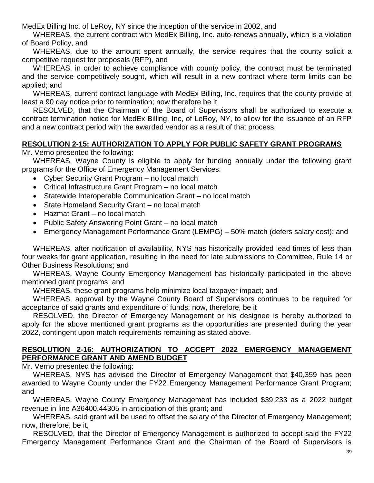MedEx Billing Inc. of LeRoy, NY since the inception of the service in 2002, and

WHEREAS, the current contract with MedEx Billing, Inc. auto-renews annually, which is a violation of Board Policy, and

WHEREAS, due to the amount spent annually, the service requires that the county solicit a competitive request for proposals (RFP), and

WHEREAS, in order to achieve compliance with county policy, the contract must be terminated and the service competitively sought, which will result in a new contract where term limits can be applied; and

WHEREAS, current contract language with MedEx Billing, Inc. requires that the county provide at least a 90 day notice prior to termination; now therefore be it

RESOLVED, that the Chairman of the Board of Supervisors shall be authorized to execute a contract termination notice for MedEx Billing, Inc, of LeRoy, NY, to allow for the issuance of an RFP and a new contract period with the awarded vendor as a result of that process.

### **RESOLUTION 2-15: AUTHORIZATION TO APPLY FOR PUBLIC SAFETY GRANT PROGRAMS**

Mr. Verno presented the following:

WHEREAS, Wayne County is eligible to apply for funding annually under the following grant programs for the Office of Emergency Management Services:

- Cyber Security Grant Program no local match
- Critical Infrastructure Grant Program no local match
- Statewide Interoperable Communication Grant no local match
- State Homeland Security Grant no local match
- Hazmat Grant no local match
- Public Safety Answering Point Grant no local match
- Emergency Management Performance Grant (LEMPG) 50% match (defers salary cost); and

WHEREAS, after notification of availability, NYS has historically provided lead times of less than four weeks for grant application, resulting in the need for late submissions to Committee, Rule 14 or Other Business Resolutions; and

WHEREAS, Wayne County Emergency Management has historically participated in the above mentioned grant programs; and

WHEREAS, these grant programs help minimize local taxpayer impact; and

WHEREAS, approval by the Wayne County Board of Supervisors continues to be required for acceptance of said grants and expenditure of funds; now, therefore, be it

RESOLVED, the Director of Emergency Management or his designee is hereby authorized to apply for the above mentioned grant programs as the opportunities are presented during the year 2022, contingent upon match requirements remaining as stated above.

### **RESOLUTION 2-16: AUTHORIZATION TO ACCEPT 2022 EMERGENCY MANAGEMENT PERFORMANCE GRANT AND AMEND BUDGET**

Mr. Verno presented the following:

WHEREAS, NYS has advised the Director of Emergency Management that \$40,359 has been awarded to Wayne County under the FY22 Emergency Management Performance Grant Program; and

WHEREAS, Wayne County Emergency Management has included \$39,233 as a 2022 budget revenue in line A36400.44305 in anticipation of this grant; and

WHEREAS, said grant will be used to offset the salary of the Director of Emergency Management; now, therefore, be it,

RESOLVED, that the Director of Emergency Management is authorized to accept said the FY22 Emergency Management Performance Grant and the Chairman of the Board of Supervisors is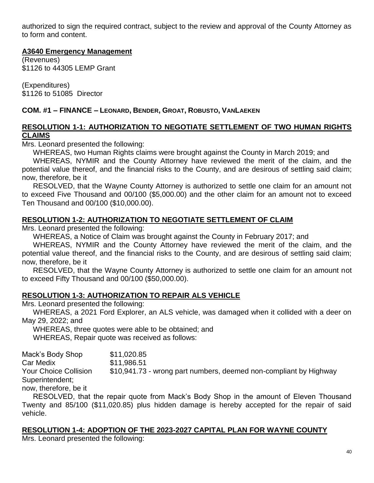authorized to sign the required contract, subject to the review and approval of the County Attorney as to form and content.

#### **A3640 Emergency Management**

(Revenues) \$1126 to 44305 LEMP Grant

(Expenditures) \$1126 to 51085 Director

### **COM. #1 – FINANCE – LEONARD, BENDER, GROAT, ROBUSTO, VANLAEKEN**

### **RESOLUTION 1-1: AUTHORIZATION TO NEGOTIATE SETTLEMENT OF TWO HUMAN RIGHTS CLAIMS**

Mrs. Leonard presented the following:

WHEREAS, two Human Rights claims were brought against the County in March 2019; and

WHEREAS, NYMIR and the County Attorney have reviewed the merit of the claim, and the potential value thereof, and the financial risks to the County, and are desirous of settling said claim; now, therefore, be it

RESOLVED, that the Wayne County Attorney is authorized to settle one claim for an amount not to exceed Five Thousand and 00/100 (\$5,000.00) and the other claim for an amount not to exceed Ten Thousand and 00/100 (\$10,000.00).

### **RESOLUTION 1-2: AUTHORIZATION TO NEGOTIATE SETTLEMENT OF CLAIM**

Mrs. Leonard presented the following:

WHEREAS, a Notice of Claim was brought against the County in February 2017; and

WHEREAS, NYMIR and the County Attorney have reviewed the merit of the claim, and the potential value thereof, and the financial risks to the County, and are desirous of settling said claim; now, therefore, be it

RESOLVED, that the Wayne County Attorney is authorized to settle one claim for an amount not to exceed Fifty Thousand and 00/100 (\$50,000.00).

### **RESOLUTION 1-3: AUTHORIZATION TO REPAIR ALS VEHICLE**

Mrs. Leonard presented the following:

WHEREAS, a 2021 Ford Explorer, an ALS vehicle, was damaged when it collided with a deer on May 29, 2022; and

WHEREAS, three quotes were able to be obtained; and WHEREAS, Repair quote was received as follows:

Mack's Body Shop \$11,020.85 Car Medix \$11,986.51 Your Choice Collision \$10,941.73 - wrong part numbers, deemed non-compliant by Highway Superintendent; now, therefore, be it

RESOLVED, that the repair quote from Mack's Body Shop in the amount of Eleven Thousand Twenty and 85/100 (\$11,020.85) plus hidden damage is hereby accepted for the repair of said vehicle.

#### **RESOLUTION 1-4: ADOPTION OF THE 2023-2027 CAPITAL PLAN FOR WAYNE COUNTY**

Mrs. Leonard presented the following: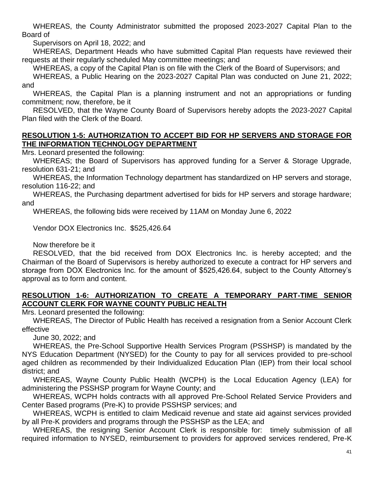WHEREAS, the County Administrator submitted the proposed 2023-2027 Capital Plan to the Board of

Supervisors on April 18, 2022; and

WHEREAS, Department Heads who have submitted Capital Plan requests have reviewed their requests at their regularly scheduled May committee meetings; and

WHEREAS, a copy of the Capital Plan is on file with the Clerk of the Board of Supervisors; and

WHEREAS, a Public Hearing on the 2023-2027 Capital Plan was conducted on June 21, 2022; and

WHEREAS, the Capital Plan is a planning instrument and not an appropriations or funding commitment; now, therefore, be it

RESOLVED, that the Wayne County Board of Supervisors hereby adopts the 2023-2027 Capital Plan filed with the Clerk of the Board.

#### **RESOLUTION 1-5: AUTHORIZATION TO ACCEPT BID FOR HP SERVERS AND STORAGE FOR THE INFORMATION TECHNOLOGY DEPARTMENT**

Mrs. Leonard presented the following:

WHEREAS; the Board of Supervisors has approved funding for a Server & Storage Upgrade, resolution 631-21; and

WHEREAS, the Information Technology department has standardized on HP servers and storage, resolution 116-22; and

WHEREAS, the Purchasing department advertised for bids for HP servers and storage hardware; and

WHEREAS, the following bids were received by 11AM on Monday June 6, 2022

Vendor DOX Electronics Inc. \$525,426.64

Now therefore be it

RESOLVED, that the bid received from DOX Electronics Inc. is hereby accepted; and the Chairman of the Board of Supervisors is hereby authorized to execute a contract for HP servers and storage from DOX Electronics Inc. for the amount of \$525,426.64, subject to the County Attorney's approval as to form and content.

### **RESOLUTION 1-6: AUTHORIZATION TO CREATE A TEMPORARY PART-TIME SENIOR ACCOUNT CLERK FOR WAYNE COUNTY PUBLIC HEALTH**

Mrs. Leonard presented the following:

WHEREAS, The Director of Public Health has received a resignation from a Senior Account Clerk effective

June 30, 2022; and

WHEREAS, the Pre-School Supportive Health Services Program (PSSHSP) is mandated by the NYS Education Department (NYSED) for the County to pay for all services provided to pre-school aged children as recommended by their Individualized Education Plan (IEP) from their local school district; and

WHEREAS, Wayne County Public Health (WCPH) is the Local Education Agency (LEA) for administering the PSSHSP program for Wayne County; and

WHEREAS, WCPH holds contracts with all approved Pre-School Related Service Providers and Center Based programs (Pre-K) to provide PSSHSP services; and

WHEREAS, WCPH is entitled to claim Medicaid revenue and state aid against services provided by all Pre-K providers and programs through the PSSHSP as the LEA; and

WHEREAS, the resigning Senior Account Clerk is responsible for: timely submission of all required information to NYSED, reimbursement to providers for approved services rendered, Pre-K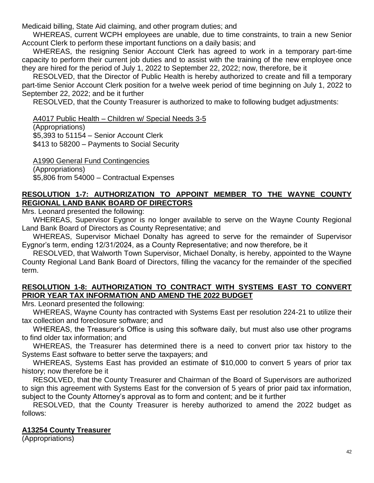Medicaid billing, State Aid claiming, and other program duties; and

WHEREAS, current WCPH employees are unable, due to time constraints, to train a new Senior Account Clerk to perform these important functions on a daily basis; and

WHEREAS, the resigning Senior Account Clerk has agreed to work in a temporary part-time capacity to perform their current job duties and to assist with the training of the new employee once they are hired for the period of July 1, 2022 to September 22, 2022; now, therefore, be it

RESOLVED, that the Director of Public Health is hereby authorized to create and fill a temporary part-time Senior Account Clerk position for a twelve week period of time beginning on July 1, 2022 to September 22, 2022; and be it further

RESOLVED, that the County Treasurer is authorized to make to following budget adjustments:

A4017 Public Health – Children w/ Special Needs 3-5

(Appropriations)

\$5,393 to 51154 – Senior Account Clerk

\$413 to 58200 – Payments to Social Security

A1990 General Fund Contingencies (Appropriations) \$5,806 from 54000 – Contractual Expenses

## **RESOLUTION 1-7: AUTHORIZATION TO APPOINT MEMBER TO THE WAYNE COUNTY REGIONAL LAND BANK BOARD OF DIRECTORS**

Mrs. Leonard presented the following:

WHEREAS, Supervisor Eygnor is no longer available to serve on the Wayne County Regional Land Bank Board of Directors as County Representative; and

WHEREAS, Supervisor Michael Donalty has agreed to serve for the remainder of Supervisor Eygnor's term, ending 12/31/2024, as a County Representative; and now therefore, be it

RESOLVED, that Walworth Town Supervisor, Michael Donalty, is hereby, appointed to the Wayne County Regional Land Bank Board of Directors, filling the vacancy for the remainder of the specified term.

### **RESOLUTION 1-8: AUTHORIZATION TO CONTRACT WITH SYSTEMS EAST TO CONVERT PRIOR YEAR TAX INFORMATION AND AMEND THE 2022 BUDGET**

Mrs. Leonard presented the following:

WHEREAS, Wayne County has contracted with Systems East per resolution 224-21 to utilize their tax collection and foreclosure software; and

WHEREAS, the Treasurer's Office is using this software daily, but must also use other programs to find older tax information; and

WHEREAS, the Treasurer has determined there is a need to convert prior tax history to the Systems East software to better serve the taxpayers; and

WHEREAS, Systems East has provided an estimate of \$10,000 to convert 5 years of prior tax history; now therefore be it

RESOLVED, that the County Treasurer and Chairman of the Board of Supervisors are authorized to sign this agreement with Systems East for the conversion of 5 years of prior paid tax information, subject to the County Attorney's approval as to form and content; and be it further

RESOLVED, that the County Treasurer is hereby authorized to amend the 2022 budget as follows:

# **A13254 County Treasurer**

(Appropriations)